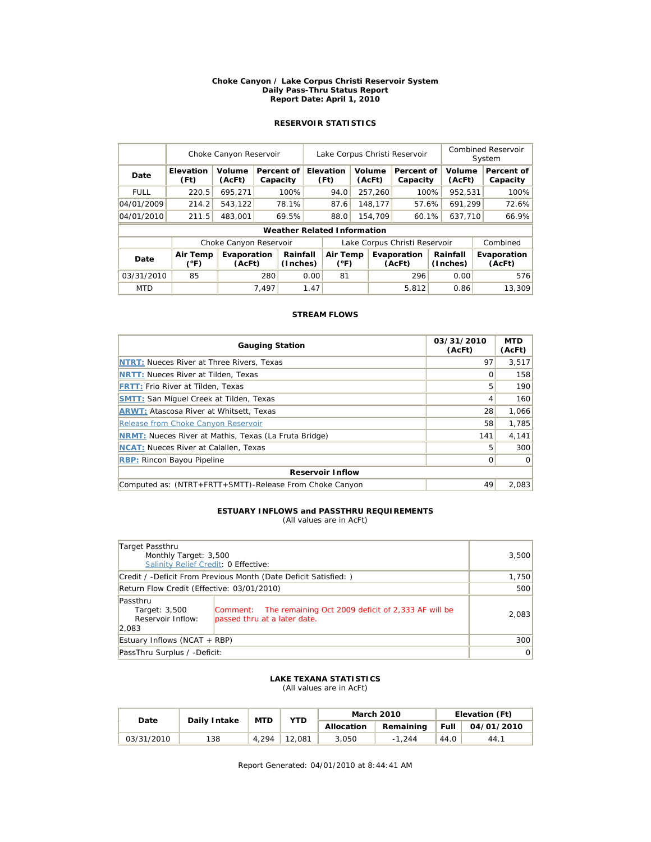#### **Choke Canyon / Lake Corpus Christi Reservoir System Daily Pass-Thru Status Report Report Date: April 1, 2010**

### **RESERVOIR STATISTICS**

|             | Choke Canyon Reservoir           |                        | Lake Corpus Christi Reservoir |                                    |      |                                       |  |                  | Combined Reservoir<br>System  |         |                      |  |                        |  |
|-------------|----------------------------------|------------------------|-------------------------------|------------------------------------|------|---------------------------------------|--|------------------|-------------------------------|---------|----------------------|--|------------------------|--|
| Date        | Elevation<br>(Ft)                | Volume<br>(AcFt)       |                               | Percent of<br>Capacity             |      | Elevation<br>Volume<br>(Ft)<br>(AcFt) |  |                  | Percent of<br>Capacity        |         | Volume<br>(AcFt)     |  | Percent of<br>Capacity |  |
| <b>FULL</b> | 220.5                            | 695,271                |                               | 100%                               |      | 94.0                                  |  | 257,260          | 100%                          |         | 952,531              |  | 100%                   |  |
| 04/01/2009  | 214.2                            | 543.122                |                               | 78.1%                              |      | 87.6                                  |  | 148,177          | 57.6%                         |         | 691.299              |  | 72.6%                  |  |
| 04/01/2010  | 211.5                            | 483,001                |                               | 69.5%                              |      | 88.0                                  |  | 60.1%<br>154,709 |                               | 637,710 |                      |  | 66.9%                  |  |
|             |                                  |                        |                               | <b>Weather Related Information</b> |      |                                       |  |                  |                               |         |                      |  |                        |  |
|             |                                  | Choke Canyon Reservoir |                               |                                    |      |                                       |  |                  | Lake Corpus Christi Reservoir |         |                      |  | Combined               |  |
| Date        | <b>Air Temp</b><br>$(^{\circ}F)$ | Evaporation<br>(AcFt)  |                               | Rainfall<br>(Inches)               |      | Air Temp<br>$(^{\circ}F)$             |  |                  | Evaporation<br>(AcFt)         |         | Rainfall<br>(Inches) |  | Evaporation<br>(AcFt)  |  |
| 03/31/2010  | 85                               |                        | 280                           |                                    | 0.00 | 81                                    |  |                  | 296                           |         | 0.00                 |  | 576                    |  |
| <b>MTD</b>  |                                  |                        | 7.497                         |                                    | 1.47 |                                       |  |                  | 5,812                         |         | 0.86                 |  | 13,309                 |  |

### **STREAM FLOWS**

| <b>Gauging Station</b>                                       | 03/31/2010<br>(AcFt) | <b>MTD</b><br>(AcFt) |  |  |  |  |  |
|--------------------------------------------------------------|----------------------|----------------------|--|--|--|--|--|
| <b>NTRT: Nueces River at Three Rivers, Texas</b>             | 97                   | 3,517                |  |  |  |  |  |
| <b>NRTT: Nueces River at Tilden, Texas</b>                   | O                    | 158                  |  |  |  |  |  |
| <b>FRTT: Frio River at Tilden, Texas</b>                     | 5                    | 190                  |  |  |  |  |  |
| <b>SMTT:</b> San Miguel Creek at Tilden, Texas               | 4                    | 160                  |  |  |  |  |  |
| <b>ARWT: Atascosa River at Whitsett, Texas</b>               | 28                   | 1,066                |  |  |  |  |  |
| Release from Choke Canyon Reservoir                          | 58                   | 1,785                |  |  |  |  |  |
| <b>NRMT:</b> Nueces River at Mathis, Texas (La Fruta Bridge) | 141                  | 4,141                |  |  |  |  |  |
| <b>NCAT:</b> Nueces River at Calallen, Texas                 | 5                    | 300                  |  |  |  |  |  |
| <b>RBP:</b> Rincon Bayou Pipeline                            | 0                    | $\Omega$             |  |  |  |  |  |
| <b>Reservoir Inflow</b>                                      |                      |                      |  |  |  |  |  |
| Computed as: (NTRT+FRTT+SMTT)-Release From Choke Canyon      | 49                   | 2.083                |  |  |  |  |  |

### **ESTUARY INFLOWS and PASSTHRU REQUIREMENTS**

(All values are in AcFt)

| Target Passthru                                         | Monthly Target: 3,500<br>Salinity Relief Credit: 0 Effective:                               |       |  |  |  |  |
|---------------------------------------------------------|---------------------------------------------------------------------------------------------|-------|--|--|--|--|
|                                                         | Credit / -Deficit From Previous Month (Date Deficit Satisfied:)                             | 1,750 |  |  |  |  |
| Return Flow Credit (Effective: 03/01/2010)              | 500                                                                                         |       |  |  |  |  |
| Passthru<br>Target: 3,500<br>Reservoir Inflow:<br>2.083 | Comment: The remaining Oct 2009 deficit of 2,333 AF will be<br>passed thru at a later date. | 2,083 |  |  |  |  |
| Estuary Inflows (NCAT + RBP)                            | 300                                                                                         |       |  |  |  |  |
| PassThru Surplus / -Deficit:                            | 0                                                                                           |       |  |  |  |  |

### **LAKE TEXANA STATISTICS**

(All values are in AcFt)

| Date       | Daily Intake | <b>MTD</b> | YTD    |            | <b>March 2010</b> | Elevation (Ft) |            |  |
|------------|--------------|------------|--------|------------|-------------------|----------------|------------|--|
|            |              |            |        | Allocation | Remaining         | Full           | 04/01/2010 |  |
| 03/31/2010 | 138          | 4.294      | 12.081 | 3.050      | $-1.244$          | 44.0           | 44.1       |  |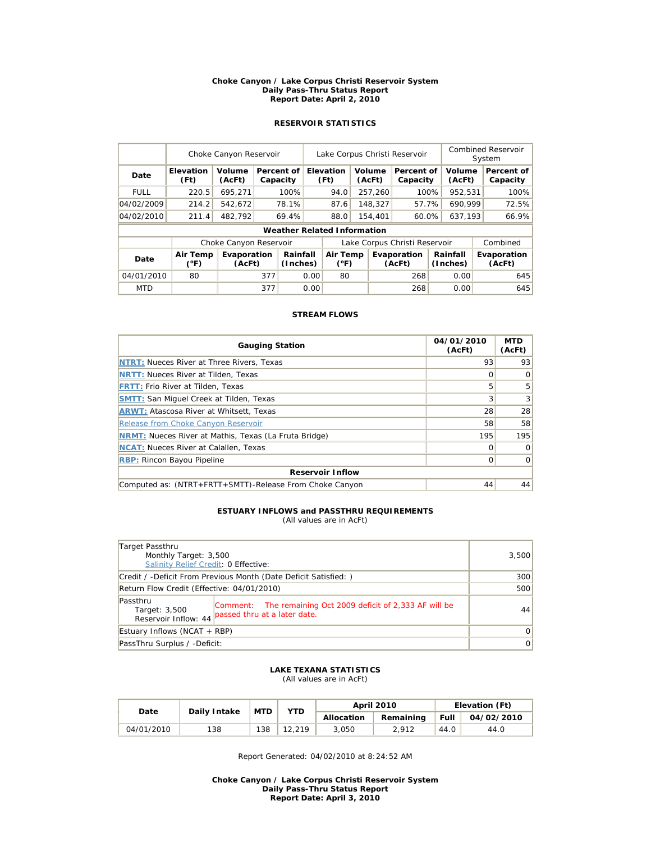#### **Choke Canyon / Lake Corpus Christi Reservoir System Daily Pass-Thru Status Report Report Date: April 2, 2010**

### **RESERVOIR STATISTICS**

|             | Choke Canyon Reservoir |                        | Lake Corpus Christi Reservoir |                                    |      |                                       |  |                        | Combined Reservoir<br>System  |                  |                      |                        |                       |
|-------------|------------------------|------------------------|-------------------------------|------------------------------------|------|---------------------------------------|--|------------------------|-------------------------------|------------------|----------------------|------------------------|-----------------------|
| Date        | Elevation<br>(Ft)      | Volume<br>(AcFt)       |                               | Percent of<br>Capacity             |      | Elevation<br>Volume<br>(Ft)<br>(AcFt) |  | Percent of<br>Capacity |                               | Volume<br>(AcFt) |                      | Percent of<br>Capacity |                       |
| <b>FULL</b> | 220.5                  | 695.271                |                               | 100%                               |      | 94.0                                  |  | 257,260                | 100%                          |                  | 952,531              |                        | 100%                  |
| 04/02/2009  | 214.2                  | 542.672                |                               | 78.1%                              |      | 87.6                                  |  | 148,327                | 57.7%                         |                  | 690.999              |                        | 72.5%                 |
| 04/02/2010  | 211.4                  | 482.792                |                               | 69.4%                              |      | 88.0                                  |  | 154,401<br>60.0%       |                               | 637.193          |                      |                        | 66.9%                 |
|             |                        |                        |                               | <b>Weather Related Information</b> |      |                                       |  |                        |                               |                  |                      |                        |                       |
|             |                        | Choke Canyon Reservoir |                               |                                    |      |                                       |  |                        | Lake Corpus Christi Reservoir |                  |                      |                        | Combined              |
| Date        | Air Temp<br>(°F)       | Evaporation<br>(AcFt)  |                               | Rainfall<br>(Inches)               |      | Air Temp<br>$(^{\circ}F)$             |  |                        | Evaporation<br>(AcFt)         |                  | Rainfall<br>(Inches) |                        | Evaporation<br>(AcFt) |
| 04/01/2010  | 80                     |                        | 377                           | 0.00                               |      | 80                                    |  |                        | 268                           |                  | 0.00                 |                        | 645                   |
| <b>MTD</b>  |                        |                        | 377                           |                                    | 0.00 |                                       |  |                        | 268                           |                  | 0.00                 |                        | 645                   |

### **STREAM FLOWS**

| <b>Gauging Station</b>                                       | 04/01/2010<br>(AcFt) | <b>MTD</b><br>(AcFt) |  |  |  |  |  |
|--------------------------------------------------------------|----------------------|----------------------|--|--|--|--|--|
| <b>NTRT: Nueces River at Three Rivers, Texas</b>             | 93                   | 93                   |  |  |  |  |  |
| <b>NRTT: Nueces River at Tilden, Texas</b>                   | O                    |                      |  |  |  |  |  |
| <b>FRTT: Frio River at Tilden, Texas</b>                     | 5                    | 5                    |  |  |  |  |  |
| <b>SMTT:</b> San Miguel Creek at Tilden, Texas               | 3                    | 3                    |  |  |  |  |  |
| <b>ARWT: Atascosa River at Whitsett, Texas</b>               | 28                   | 28                   |  |  |  |  |  |
| Release from Choke Canyon Reservoir                          | 58                   | 58                   |  |  |  |  |  |
| <b>NRMT:</b> Nueces River at Mathis, Texas (La Fruta Bridge) | 195                  | 195                  |  |  |  |  |  |
| <b>NCAT:</b> Nueces River at Calallen, Texas                 | Ω                    |                      |  |  |  |  |  |
| <b>RBP: Rincon Bayou Pipeline</b>                            | Ω                    | $\Omega$             |  |  |  |  |  |
| <b>Reservoir Inflow</b>                                      |                      |                      |  |  |  |  |  |
| Computed as: (NTRT+FRTT+SMTT)-Release From Choke Canyon      | 44                   | 44                   |  |  |  |  |  |

### **ESTUARY INFLOWS and PASSTHRU REQUIREMENTS**

(All values are in AcFt)

| Target Passthru<br>Monthly Target: 3,500<br>Salinity Relief Credit: 0 Effective:                                                                 | 3,500          |
|--------------------------------------------------------------------------------------------------------------------------------------------------|----------------|
| Credit / -Deficit From Previous Month (Date Deficit Satisfied:)                                                                                  | 300            |
| Return Flow Credit (Effective: 04/01/2010)                                                                                                       | 500            |
| Passthru<br>Comment: The remaining Oct 2009 deficit of 2,333 AF will be<br>Target: 3,500<br>passed thru at a later date.<br>Reservoir Inflow: 44 | 44             |
| Estuary Inflows (NCAT + RBP)                                                                                                                     | $\Omega$       |
| PassThru Surplus / -Deficit:                                                                                                                     | $\overline{0}$ |

#### **LAKE TEXANA STATISTICS** (All values are in AcFt)

|            | Daily Intake | <b>MTD</b> | YTD    |            | April 2010 | Elevation (Ft) |            |  |
|------------|--------------|------------|--------|------------|------------|----------------|------------|--|
| Date       |              |            |        | Allocation | Remaining  | Full           | 04/02/2010 |  |
| 04/01/2010 | 138          | 138        | 12.219 | 3.050      | 2.912      | 44.0           | 44.0       |  |

Report Generated: 04/02/2010 at 8:24:52 AM

**Choke Canyon / Lake Corpus Christi Reservoir System Daily Pass-Thru Status Report Report Date: April 3, 2010**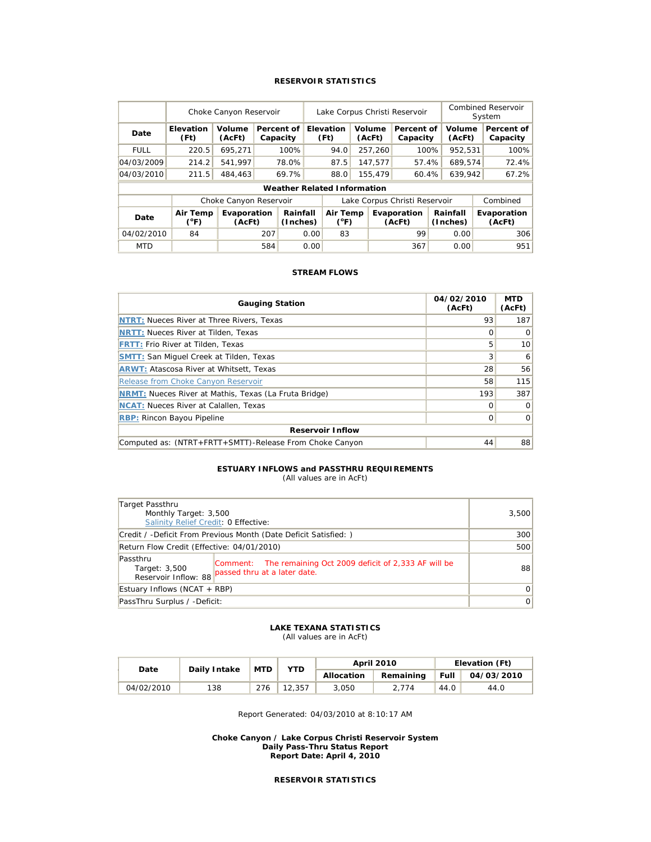### **RESERVOIR STATISTICS**

|             | Choke Canyon Reservoir    |                        |     |                                    | Lake Corpus Christi Reservoir |                           |                  |         |                               |                        | Combined Reservoir<br>System |                  |                        |
|-------------|---------------------------|------------------------|-----|------------------------------------|-------------------------------|---------------------------|------------------|---------|-------------------------------|------------------------|------------------------------|------------------|------------------------|
| Date        | <b>Elevation</b><br>(Ft)  | Volume<br>(AcFt)       |     | Percent of<br>Capacity             |                               | <b>Elevation</b><br>(Ft)  | Volume<br>(AcFt) |         |                               | Percent of<br>Capacity |                              | Volume<br>(AcFt) | Percent of<br>Capacity |
| <b>FULL</b> | 220.5                     | 695.271                |     | 100%                               |                               | 94.0                      |                  | 257,260 |                               | 100%                   | 952.531                      |                  | 100%                   |
| 04/03/2009  | 214.2                     | 541.997                |     | 78.0%                              |                               | 87.5                      |                  | 147.577 | 57.4%                         |                        | 689.574                      |                  | 72.4%                  |
| 04/03/2010  | 211.5                     | 484,463                |     | 69.7%                              |                               | 88.0                      |                  | 155,479 | 60.4%                         |                        | 639.942                      |                  | 67.2%                  |
|             |                           |                        |     | <b>Weather Related Information</b> |                               |                           |                  |         |                               |                        |                              |                  |                        |
|             |                           | Choke Canyon Reservoir |     |                                    |                               |                           |                  |         | Lake Corpus Christi Reservoir |                        |                              |                  | Combined               |
| Date        | Air Temp<br>$(^{\circ}F)$ | Evaporation<br>(AcFt)  |     | Rainfall<br>(Inches)               |                               | Air Temp<br>$(^{\circ}F)$ |                  |         | Evaporation<br>(AcFt)         |                        | Rainfall<br>(Inches)         |                  | Evaporation<br>(AcFt)  |
| 04/02/2010  | 84                        |                        | 207 |                                    | 0.00                          | 83                        |                  |         | 99                            |                        | 0.00                         |                  | 306                    |
| <b>MTD</b>  |                           |                        | 584 |                                    | 0.00                          |                           |                  |         | 367                           |                        | 0.00                         |                  | 951                    |

### **STREAM FLOWS**

| <b>Gauging Station</b>                                       | 04/02/2010<br>(AcFt) | <b>MTD</b><br>(AcFt) |  |  |  |  |  |  |
|--------------------------------------------------------------|----------------------|----------------------|--|--|--|--|--|--|
| NTRT: Nueces River at Three Rivers, Texas                    | 93                   | 187                  |  |  |  |  |  |  |
| <b>NRTT: Nueces River at Tilden, Texas</b>                   |                      | $\Omega$             |  |  |  |  |  |  |
| <b>FRTT: Frio River at Tilden, Texas</b>                     | 5                    | 10                   |  |  |  |  |  |  |
| <b>SMTT:</b> San Miguel Creek at Tilden, Texas               | 3                    | 6                    |  |  |  |  |  |  |
| <b>ARWT: Atascosa River at Whitsett, Texas</b>               | 28                   | 56                   |  |  |  |  |  |  |
| Release from Choke Canyon Reservoir                          | 58                   | 115                  |  |  |  |  |  |  |
| <b>NRMT:</b> Nueces River at Mathis, Texas (La Fruta Bridge) | 193                  | 387                  |  |  |  |  |  |  |
| <b>NCAT:</b> Nueces River at Calallen, Texas                 | 0                    | $\Omega$             |  |  |  |  |  |  |
| <b>RBP: Rincon Bayou Pipeline</b>                            | 0                    | 0                    |  |  |  |  |  |  |
| <b>Reservoir Inflow</b>                                      |                      |                      |  |  |  |  |  |  |
| Computed as: (NTRT+FRTT+SMTT)-Release From Choke Canyon      | 44                   | 88                   |  |  |  |  |  |  |

### **ESTUARY INFLOWS and PASSTHRU REQUIREMENTS**

(All values are in AcFt)

| Target Passthru                                                  | Monthly Target: 3,500<br>Salinity Relief Credit: 0 Effective:                                                    |    |  |  |  |  |
|------------------------------------------------------------------|------------------------------------------------------------------------------------------------------------------|----|--|--|--|--|
| Credit / -Deficit From Previous Month (Date Deficit Satisfied: ) | 300                                                                                                              |    |  |  |  |  |
| Return Flow Credit (Effective: 04/01/2010)                       | 500                                                                                                              |    |  |  |  |  |
| Passthru<br>Target: 3,500                                        | Comment: The remaining Oct 2009 deficit of 2,333 AF will be<br>Reservoir Inflow: 88 passed thru at a later date. | 88 |  |  |  |  |
| Estuary Inflows (NCAT + RBP)                                     | $\overline{0}$                                                                                                   |    |  |  |  |  |
| PassThru Surplus / -Deficit:                                     | 0                                                                                                                |    |  |  |  |  |

### **LAKE TEXANA STATISTICS**

(All values are in AcFt)

| Date       | Daily Intake | <b>MTD</b> | <b>YTD</b> |            | <b>April 2010</b> | Elevation (Ft) |            |  |
|------------|--------------|------------|------------|------------|-------------------|----------------|------------|--|
|            |              |            |            | Allocation | Remaining         | <b>Full</b>    | 04/03/2010 |  |
| 04/02/2010 | 138          | 276        | 12.357     | 3.050      | 2.774             | 44.0           | 44.0       |  |

Report Generated: 04/03/2010 at 8:10:17 AM

**Choke Canyon / Lake Corpus Christi Reservoir System Daily Pass-Thru Status Report Report Date: April 4, 2010**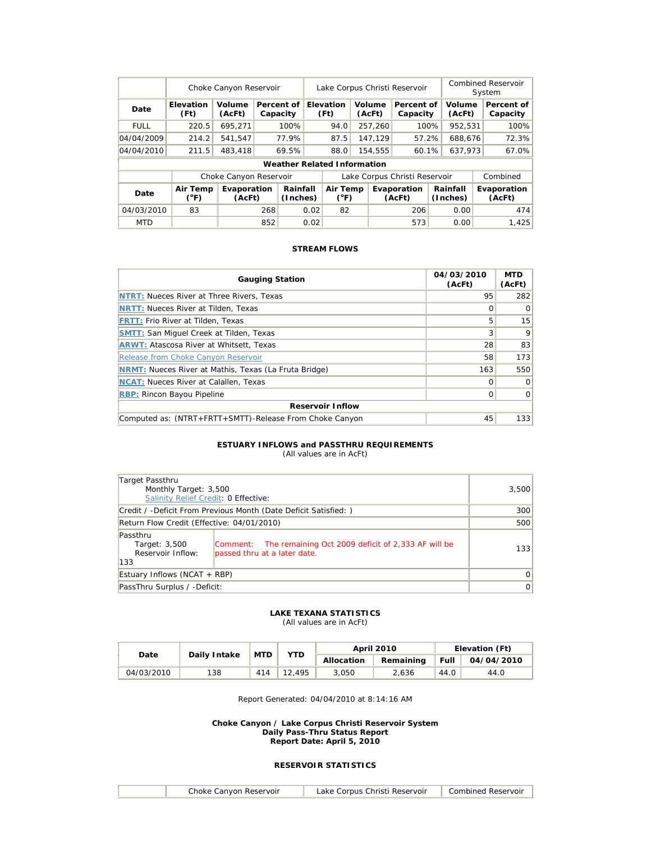|             | Choke Canyon Reservoir |                        |     |                                    | Lake Corpus Christi Reservoir |                           |  |                  |                        |         | Combined Reservoir<br>System |          |                        |
|-------------|------------------------|------------------------|-----|------------------------------------|-------------------------------|---------------------------|--|------------------|------------------------|---------|------------------------------|----------|------------------------|
| Date        | Elevation<br>(Ft)      | Volume<br>(AcFt)       |     | Percent of<br>Capacity             |                               | Elevation<br>(Ft)         |  | Volume<br>(AcFt) | Percent of<br>Capacity |         | Volume<br>(AcFt)             |          | Percent of<br>Capacity |
| <b>FULL</b> | 220.5                  | 695.271                |     | 100%                               |                               | 94.0                      |  | 100%<br>257,260  |                        | 952,531 |                              |          | 100%                   |
| 04/04/2009  | 214.2                  | 541.547                |     | 77.9%                              |                               | 87.5                      |  | 147.129          | 57.2%                  |         | 688.676                      |          | 72.3%                  |
| 04/04/2010  | 211.5                  | 483,418                |     | 69.5%                              |                               | 88.0                      |  | 154.555          | 60.1%                  |         | 637.973                      |          | 67.0%                  |
|             |                        |                        |     | <b>Weather Related Information</b> |                               |                           |  |                  |                        |         |                              |          |                        |
|             |                        | Choke Canyon Reservoir |     |                                    | Lake Corpus Christi Reservoir |                           |  |                  |                        |         |                              | Combined |                        |
| Date        | Air Temp<br>(°F)       | Evaporation<br>(AcFt)  |     | Rainfall<br>(Inches)               |                               | Air Temp<br>$(^{\circ}F)$ |  |                  | Evaporation<br>(AcFt)  |         | Rainfall<br>(Inches)         |          | Evaporation<br>(AcFt)  |
| 04/03/2010  | 83                     |                        | 268 |                                    | 0.02                          | 82                        |  |                  | 206                    |         | 0.00                         |          | 474                    |
| <b>MTD</b>  |                        |                        | 852 |                                    | 0.02                          |                           |  |                  | 573                    |         | 0.00                         |          | 1.425                  |

| <b>Gauging Station</b>                                       | 04/03/2010<br>(AcFt) | <b>MTD</b><br>(AcFt) |
|--------------------------------------------------------------|----------------------|----------------------|
| <b>NTRT: Nueces River at Three Rivers, Texas</b>             | 95                   | 282                  |
| <b>NRTT: Nueces River at Tilden, Texas</b>                   | Ω                    | $\Omega$             |
| <b>FRTT: Frio River at Tilden, Texas</b>                     | 5                    | 15                   |
| <b>SMTT:</b> San Miguel Creek at Tilden, Texas               | 3                    | 9                    |
| <b>ARWT: Atascosa River at Whitsett, Texas</b>               | 28                   | 83                   |
| Release from Choke Canyon Reservoir                          | 58                   | 173                  |
| <b>NRMT:</b> Nueces River at Mathis, Texas (La Fruta Bridge) | 163                  | 550                  |
| <b>NCAT:</b> Nueces River at Calallen, Texas                 | Ω                    | $\Omega$             |
| <b>RBP: Rincon Bayou Pipeline</b>                            | 0                    | $\Omega$             |
| <b>Reservoir Inflow</b>                                      |                      |                      |
| Computed as: (NTRT+FRTT+SMTT)-Release From Choke Canyon      | 45                   | 133                  |

#### **ESTUARY INFLOWS and PASSTHRU REQUIREMENTS** (All values are in AcFt)

| Target Passthru                                                 | Monthly Target: 3,500<br>Salinity Relief Credit: 0 Effective:                               |          |  |  |  |  |
|-----------------------------------------------------------------|---------------------------------------------------------------------------------------------|----------|--|--|--|--|
| Credit / -Deficit From Previous Month (Date Deficit Satisfied:) | 300                                                                                         |          |  |  |  |  |
| Return Flow Credit (Effective: 04/01/2010)                      | 500                                                                                         |          |  |  |  |  |
| Passthru<br>Target: 3,500<br>Reservoir Inflow:<br>133           | Comment: The remaining Oct 2009 deficit of 2,333 AF will be<br>passed thru at a later date. | 133      |  |  |  |  |
| Estuary Inflows (NCAT + RBP)                                    |                                                                                             | $\Omega$ |  |  |  |  |
| PassThru Surplus / -Deficit:                                    |                                                                                             | 0        |  |  |  |  |

### **LAKE TEXANA STATISTICS**

(All values are in AcFt)

|            | Daily Intake | <b>MTD</b> | <b>YTD</b> |            | <b>April 2010</b> | Elevation (Ft) |            |  |
|------------|--------------|------------|------------|------------|-------------------|----------------|------------|--|
| Date       |              |            |            | Allocation | Remaining         | <b>Full</b>    | 04/04/2010 |  |
| 04/03/2010 | 138          | 414        | 12.495     | 3.050      | 2.636             | 44.0           | 44.0       |  |

Report Generated: 04/04/2010 at 8:14:16 AM

**Choke Canyon / Lake Corpus Christi Reservoir System Daily Pass-Thru Status Report Report Date: April 5, 2010** 

| Choke Canvon Reservoir | . Corpus Christi Reservoir<br>ake | ∴omhined<br>Reservoir |
|------------------------|-----------------------------------|-----------------------|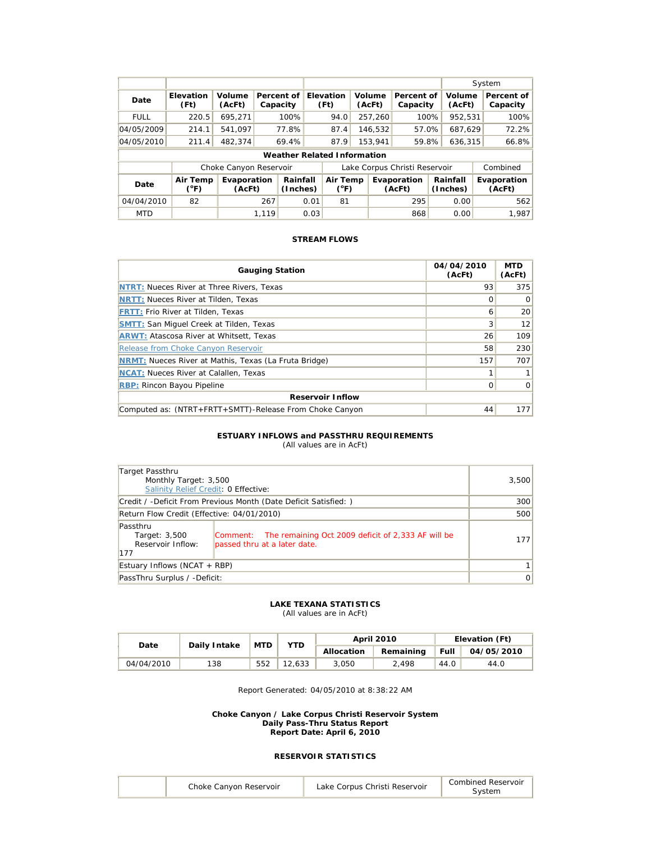|             |                           |                        |          |                                    |      |                           |  |                  |                               |      |                      | System |                        |
|-------------|---------------------------|------------------------|----------|------------------------------------|------|---------------------------|--|------------------|-------------------------------|------|----------------------|--------|------------------------|
| Date        | <b>Elevation</b><br>(Ft)  | Volume<br>(AcFt)       | Capacity | Percent of                         |      | Elevation<br>(Ft)         |  | Volume<br>(AcFt) | Percent of<br>Capacity        |      | Volume<br>(AcFt)     |        | Percent of<br>Capacity |
| <b>FULL</b> | 220.5                     | 695.271                |          | 100%                               |      | 94.0                      |  | 257.260          | 100%                          |      | 952.531              |        | 100%                   |
| 04/05/2009  | 214.1                     | 541.097                |          | 77.8%                              |      | 87.4                      |  | 146,532          | 57.0%                         |      | 687,629              |        | 72.2%                  |
| 04/05/2010  | 211.4                     | 482.374                |          | 69.4%                              |      | 87.9                      |  | 153.941          | 59.8%                         |      | 636,315              |        | 66.8%                  |
|             |                           |                        |          | <b>Weather Related Information</b> |      |                           |  |                  |                               |      |                      |        |                        |
|             |                           | Choke Canyon Reservoir |          |                                    |      |                           |  |                  | Lake Corpus Christi Reservoir |      |                      |        | Combined               |
| Date        | Air Temp<br>$(^{\circ}F)$ | Evaporation<br>(AcFt)  |          | Rainfall<br>(Inches)               |      | Air Temp<br>$(^{\circ}F)$ |  |                  | Evaporation<br>(AcFt)         |      | Rainfall<br>(Inches) |        | Evaporation<br>(AcFt)  |
| 04/04/2010  | 82                        |                        | 267      |                                    | 0.01 | 81                        |  |                  | 295                           | 0.00 |                      |        | 562                    |
| <b>MTD</b>  |                           |                        | 1.119    |                                    | 0.03 |                           |  |                  | 868                           |      | 0.00                 |        | 1.987                  |

| <b>Gauging Station</b>                                       | 04/04/2010<br>(AcFt) | <b>MTD</b><br>(AcFt) |
|--------------------------------------------------------------|----------------------|----------------------|
| <b>NTRT: Nueces River at Three Rivers, Texas</b>             | 93                   | 375                  |
| <b>NRTT: Nueces River at Tilden, Texas</b>                   | Ω                    | $\overline{0}$       |
| <b>FRTT: Frio River at Tilden, Texas</b>                     | 6                    | 20 <sup>1</sup>      |
| <b>SMTT: San Miquel Creek at Tilden, Texas</b>               | 3                    | 12                   |
| <b>ARWT: Atascosa River at Whitsett, Texas</b>               | 26                   | 109                  |
| Release from Choke Canyon Reservoir                          | 58                   | 230                  |
| <b>NRMT:</b> Nueces River at Mathis, Texas (La Fruta Bridge) | 157                  | 707                  |
| <b>NCAT:</b> Nueces River at Calallen, Texas                 |                      | 1 <sup>1</sup>       |
| <b>RBP: Rincon Bayou Pipeline</b>                            | $\Omega$             | $\overline{0}$       |
| <b>Reservoir Inflow</b>                                      |                      |                      |
| Computed as: (NTRT+FRTT+SMTT)-Release From Choke Canyon      | 44                   | 177                  |

### **ESTUARY INFLOWS and PASSTHRU REQUIREMENTS**

(All values are in AcFt)

| Target Passthru<br>Monthly Target: 3,500<br>Salinity Relief Credit: 0 Effective: |                                                                                             | 3,500          |  |  |  |
|----------------------------------------------------------------------------------|---------------------------------------------------------------------------------------------|----------------|--|--|--|
| Credit / -Deficit From Previous Month (Date Deficit Satisfied:)                  | 300                                                                                         |                |  |  |  |
| Return Flow Credit (Effective: 04/01/2010)                                       |                                                                                             |                |  |  |  |
| Passthru<br>Target: 3,500<br>Reservoir Inflow:<br>177                            | Comment: The remaining Oct 2009 deficit of 2,333 AF will be<br>passed thru at a later date. | 1771           |  |  |  |
| Estuary Inflows (NCAT + RBP)                                                     |                                                                                             |                |  |  |  |
| PassThru Surplus / -Deficit:                                                     |                                                                                             | $\overline{0}$ |  |  |  |

#### **LAKE TEXANA STATISTICS**

(All values are in AcFt)

| Date       | Daily Intake | <b>MTD</b> | <b>YTD</b> |            | <b>April 2010</b> | Elevation (Ft) |            |  |
|------------|--------------|------------|------------|------------|-------------------|----------------|------------|--|
|            |              |            |            | Allocation | Remaining         | Full           | 04/05/2010 |  |
| 04/04/2010 | 138          | 552        | 12.633     | 3.050      | 2.498             | 44.0           | 44.0       |  |

Report Generated: 04/05/2010 at 8:38:22 AM

#### **Choke Canyon / Lake Corpus Christi Reservoir System Daily Pass-Thru Status Report Report Date: April 6, 2010**

| Combined Reservoir<br>Choke Canyon Reservoir<br>Lake Corpus Christi Reservoir |
|-------------------------------------------------------------------------------|
|-------------------------------------------------------------------------------|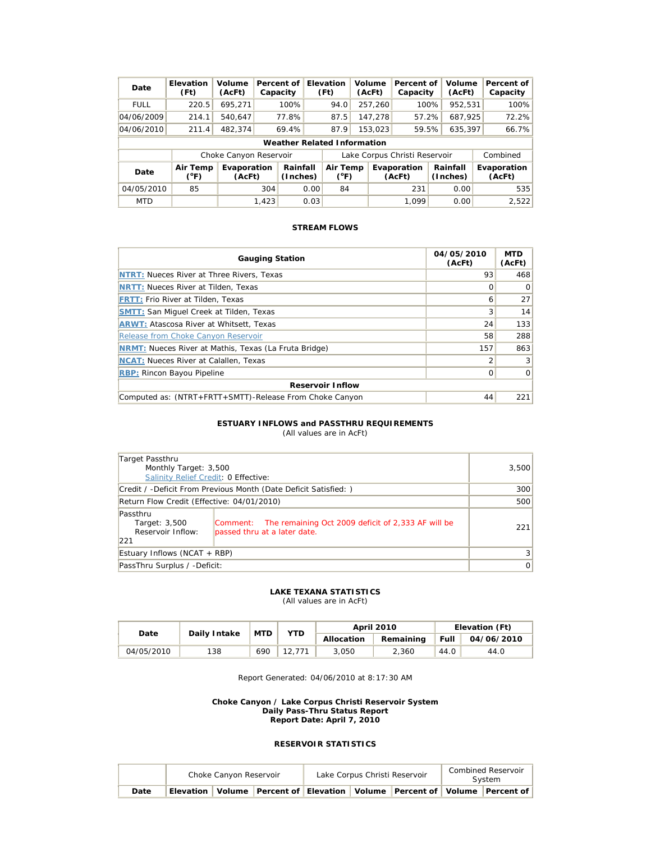| Date        | Elevation<br>(Ft)                  | Volume<br>(AcFt)       |       | Percent of<br>Capacity |      | <b>Elevation</b><br>(Ft)  |  | Volume<br>(AcFt) | Percent of<br>Capacity        | Volume<br>(AcFt)     | Percent of<br>Capacity |
|-------------|------------------------------------|------------------------|-------|------------------------|------|---------------------------|--|------------------|-------------------------------|----------------------|------------------------|
| <b>FULL</b> | 220.5                              | 695.271                |       | 100%                   |      | 94.0                      |  | 257,260          | 100%                          | 952.531              | 100%                   |
| 04/06/2009  | 214.1                              | 540.647                |       | 77.8%                  |      | 87.5                      |  | 147.278          | 57.2%                         | 687.925              | 72.2%                  |
| 04/06/2010  | 211.4                              | 482.374                |       | 69.4%                  |      | 87.9                      |  | 153,023          | 59.5%                         | 635.397              | 66.7%                  |
|             | <b>Weather Related Information</b> |                        |       |                        |      |                           |  |                  |                               |                      |                        |
|             |                                    | Choke Canyon Reservoir |       |                        |      |                           |  |                  | Lake Corpus Christi Reservoir |                      | Combined               |
| Date        | Air Temp<br>(°F)                   | Evaporation<br>(AcFt)  |       | Rainfall<br>(Inches)   |      | Air Temp<br>$(^{\circ}F)$ |  |                  | Evaporation<br>(AcFt)         | Rainfall<br>(Inches) | Evaporation<br>(AcFt)  |
| 04/05/2010  | 85                                 |                        | 304   |                        | 0.00 | 84                        |  |                  | 231                           | 0.00                 | 535                    |
| <b>MTD</b>  |                                    |                        | 1,423 |                        | 0.03 |                           |  |                  | 1.099                         | 0.00                 | 2,522                  |

| <b>Gauging Station</b>                                       | 04/05/2010<br>(AcFt) | <b>MTD</b><br>(AcFt) |
|--------------------------------------------------------------|----------------------|----------------------|
| <b>NTRT: Nueces River at Three Rivers, Texas</b>             | 93                   | 468                  |
| <b>NRTT: Nueces River at Tilden, Texas</b>                   | Ω                    | $\Omega$             |
| <b>FRTT: Frio River at Tilden, Texas</b>                     | 6                    | 27                   |
| <b>SMTT: San Miquel Creek at Tilden, Texas</b>               | 3                    | 14                   |
| <b>ARWT: Atascosa River at Whitsett, Texas</b>               | 24                   | 133                  |
| Release from Choke Canyon Reservoir                          | 58                   | 288                  |
| <b>NRMT:</b> Nueces River at Mathis, Texas (La Fruta Bridge) | 157                  | 863                  |
| <b>NCAT:</b> Nueces River at Calallen, Texas                 | フ                    | 3                    |
| <b>RBP: Rincon Bayou Pipeline</b>                            | Ω                    | $\Omega$             |
| <b>Reservoir Inflow</b>                                      |                      |                      |
| Computed as: (NTRT+FRTT+SMTT)-Release From Choke Canyon      | 44                   | 221                  |

#### **ESTUARY INFLOWS and PASSTHRU REQUIREMENTS**

(All values are in AcFt)

| Target Passthru                                                  |                                                                                             |                |
|------------------------------------------------------------------|---------------------------------------------------------------------------------------------|----------------|
| Monthly Target: 3,500                                            |                                                                                             | 3,500          |
| Salinity Relief Credit: 0 Effective:                             |                                                                                             |                |
| Credit / -Deficit From Previous Month (Date Deficit Satisfied: ) | 300                                                                                         |                |
| Return Flow Credit (Effective: 04/01/2010)                       | 500                                                                                         |                |
| Passthru<br>Target: 3,500<br>Reservoir Inflow:<br>221            | Comment: The remaining Oct 2009 deficit of 2,333 AF will be<br>passed thru at a later date. | 221            |
| Estuary Inflows (NCAT + RBP)                                     | 3                                                                                           |                |
| PassThru Surplus / -Deficit:                                     |                                                                                             | $\overline{0}$ |

#### **LAKE TEXANA STATISTICS**

(All values are in AcFt)

| Daily Intake<br>Date |     | <b>MTD</b> | YTD |            | <b>April 2010</b> | Elevation (Ft) |            |  |
|----------------------|-----|------------|-----|------------|-------------------|----------------|------------|--|
|                      |     |            |     | Allocation | Remaining         | Full           | 04/06/2010 |  |
| 04/05/2010           | 138 | 690        |     | 3.050      | 2.360             | 44.0           | 44.0       |  |

Report Generated: 04/06/2010 at 8:17:30 AM

#### **Choke Canyon / Lake Corpus Christi Reservoir System Daily Pass-Thru Status Report Report Date: April 7, 2010**

|      | Choke Canyon Reservoir | Lake Corpus Christi Reservoir |  | Combined Reservoir<br>System                                                            |  |  |
|------|------------------------|-------------------------------|--|-----------------------------------------------------------------------------------------|--|--|
| Date |                        |                               |  | Elevation   Volume   Percent of   Elevation   Volume   Percent of   Volume   Percent of |  |  |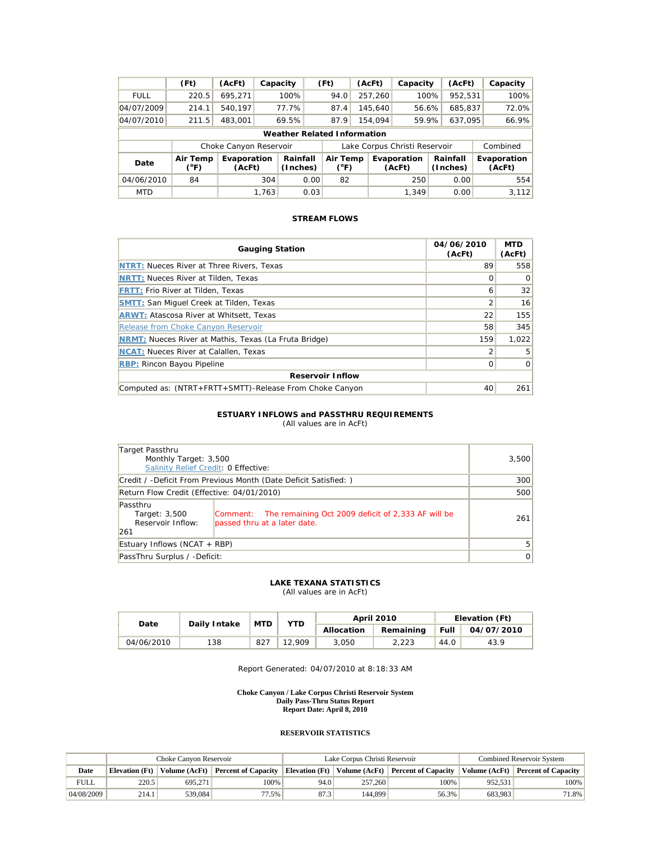|                                    | (Ft)                                                                                                                                                                     | (AcFt)                 | Capacity                                   |       |      | (Ft) |  | (AcFt)  | Capacity                      |      | (AcFt)  |  | Capacity |
|------------------------------------|--------------------------------------------------------------------------------------------------------------------------------------------------------------------------|------------------------|--------------------------------------------|-------|------|------|--|---------|-------------------------------|------|---------|--|----------|
| <b>FULL</b>                        | 220.5                                                                                                                                                                    | 695.271                | 100%<br>952,531<br>257,260<br>100%<br>94.0 |       |      |      |  |         |                               | 100% |         |  |          |
| 04/07/2009                         | 214.1                                                                                                                                                                    | 540.197                |                                            | 77.7% |      | 87.4 |  | 145,640 | 56.6%                         |      | 685,837 |  | 72.0%    |
| 04/07/2010                         | 211.5                                                                                                                                                                    | 483.001                |                                            | 69.5% |      | 87.9 |  | 154.094 | 59.9%                         |      | 637,095 |  | 66.9%    |
| <b>Weather Related Information</b> |                                                                                                                                                                          |                        |                                            |       |      |      |  |         |                               |      |         |  |          |
|                                    |                                                                                                                                                                          | Choke Canyon Reservoir |                                            |       |      |      |  |         | Lake Corpus Christi Reservoir |      |         |  | Combined |
| Date                               | Air Temp<br>Rainfall<br>Air Temp<br>Rainfall<br>Evaporation<br>Evaporation<br>Evaporation<br>$(^{\circ}F)$<br>(Inches)<br>(°F)<br>(AcFt)<br>(Inches)<br>(AcFt)<br>(AcFt) |                        |                                            |       |      |      |  |         |                               |      |         |  |          |
| 04/06/2010                         | 84                                                                                                                                                                       |                        | 304                                        |       | 0.00 | 82   |  |         | 250                           |      | 0.00    |  | 554      |
| <b>MTD</b>                         |                                                                                                                                                                          |                        | 1,763                                      |       | 0.03 |      |  |         | 1,349                         |      | 0.00    |  | 3,112    |

| <b>Gauging Station</b>                                       | 04/06/2010<br>(AcFt) | <b>MTD</b><br>(AcFt) |  |  |  |  |
|--------------------------------------------------------------|----------------------|----------------------|--|--|--|--|
| <b>NTRT: Nueces River at Three Rivers, Texas</b>             | 89                   | 558                  |  |  |  |  |
| <b>NRTT: Nueces River at Tilden, Texas</b>                   | Ω                    | $\Omega$             |  |  |  |  |
| <b>FRTT: Frio River at Tilden, Texas</b>                     | 6                    | 32                   |  |  |  |  |
| <b>SMTT: San Miquel Creek at Tilden, Texas</b>               | 2                    | 16                   |  |  |  |  |
| <b>ARWT: Atascosa River at Whitsett, Texas</b>               | 22                   | 155                  |  |  |  |  |
| Release from Choke Canyon Reservoir                          | 58                   | 345                  |  |  |  |  |
| <b>NRMT:</b> Nueces River at Mathis, Texas (La Fruta Bridge) | 159                  | 1.022                |  |  |  |  |
| <b>NCAT:</b> Nueces River at Calallen, Texas                 | 2                    | 5                    |  |  |  |  |
| <b>RBP: Rincon Bayou Pipeline</b>                            | Ω                    | $\Omega$             |  |  |  |  |
| <b>Reservoir Inflow</b>                                      |                      |                      |  |  |  |  |
| Computed as: (NTRT+FRTT+SMTT)-Release From Choke Canyon      | 40                   | 261                  |  |  |  |  |

### **ESTUARY INFLOWS and PASSTHRU REQUIREMENTS**

(All values are in AcFt)

| Target Passthru                                                 | Monthly Target: 3,500<br>Salinity Relief Credit: 0 Effective:                               |                |  |  |  |
|-----------------------------------------------------------------|---------------------------------------------------------------------------------------------|----------------|--|--|--|
| Credit / -Deficit From Previous Month (Date Deficit Satisfied:) | <b>300</b>                                                                                  |                |  |  |  |
| Return Flow Credit (Effective: 04/01/2010)                      | 500                                                                                         |                |  |  |  |
| Passthru<br>Target: 3,500<br>Reservoir Inflow:<br>261           | Comment: The remaining Oct 2009 deficit of 2,333 AF will be<br>passed thru at a later date. | 261            |  |  |  |
| Estuary Inflows (NCAT + RBP)                                    |                                                                                             | 5              |  |  |  |
| PassThru Surplus / -Deficit:                                    |                                                                                             | $\overline{0}$ |  |  |  |

### **LAKE TEXANA STATISTICS** (All values are in AcFt)

|            |     | <b>MTD</b><br>YTD<br>Daily Intake |        |            | April 2010 | Elevation (Ft) |            |  |
|------------|-----|-----------------------------------|--------|------------|------------|----------------|------------|--|
| Date       |     |                                   |        | Allocation | Remaining  | Full           | 04/07/2010 |  |
| 04/06/2010 | 138 | 827                               | 12.909 | 3.050      | 2.223      | 44.0           | 43.9       |  |

Report Generated: 04/07/2010 at 8:18:33 AM

**Choke Canyon / Lake Corpus Christi Reservoir System Daily Pass-Thru Status Report Report Date: April 8, 2010** 

|             | Choke Canvon Reservoir |               |                            |      | Lake Corpus Christi Reservoir | <b>Combined Reservoir System</b>                     |         |                                   |
|-------------|------------------------|---------------|----------------------------|------|-------------------------------|------------------------------------------------------|---------|-----------------------------------|
| Date        | <b>Elevation</b> (Ft)  | Volume (AcFt) | <b>Percent of Capacity</b> |      |                               | Elevation (Ft)   Volume (AcFt)   Percent of Capacity |         | Volume (AcFt) Percent of Capacity |
| <b>FULL</b> | 220.5                  | 695.271       | 100%                       | 94.0 | 257,260                       | 100%                                                 | 952.531 | 100%                              |
| 04/08/2009  | 214.1                  | 539,084       | 77.5%                      | 87.3 | 144,899                       | 56.3%                                                | 683.983 | 71.8%                             |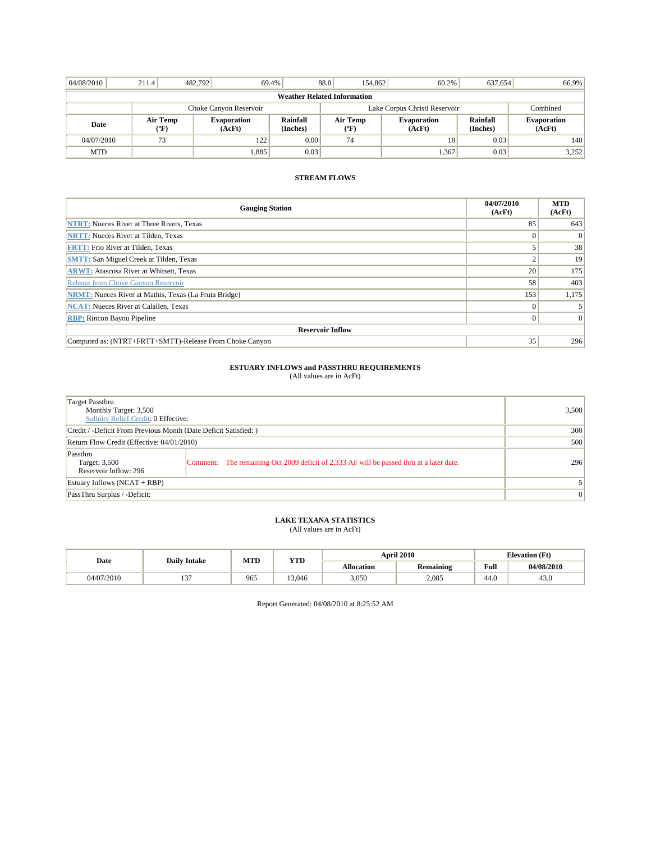| 04/08/2010 | 211.4                                     | 482.792 | 69.4%                        |                      | 88.0                          | 154,862                                 | 60.2%                 | 637.654              | 66.9%                        |  |
|------------|-------------------------------------------|---------|------------------------------|----------------------|-------------------------------|-----------------------------------------|-----------------------|----------------------|------------------------------|--|
|            | <b>Weather Related Information</b>        |         |                              |                      |                               |                                         |                       |                      |                              |  |
|            |                                           |         | Choke Canyon Reservoir       |                      | Lake Corpus Christi Reservoir |                                         |                       |                      | Combined                     |  |
| Date       | Air Temp<br>$({}^{\mathrm{o}}\mathrm{F})$ |         | <b>Evaporation</b><br>(AcFt) | Rainfall<br>(Inches) |                               | Air Temp<br>$(^{\mathrm{o}}\mathrm{F})$ | Evaporation<br>(AcFt) | Rainfall<br>(Inches) | <b>Evaporation</b><br>(AcFt) |  |
| 04/07/2010 | 73                                        |         | 122                          | 0.00                 |                               | 74                                      | 18                    | 0.03                 | 140                          |  |
| <b>MTD</b> |                                           |         | .885                         | 0.03                 |                               |                                         | 1,367                 | 0.03                 | 3,252                        |  |

| <b>Gauging Station</b>                                       | 04/07/2010<br>(AcFt) | <b>MTD</b><br>(AcFt) |
|--------------------------------------------------------------|----------------------|----------------------|
| <b>NTRT:</b> Nueces River at Three Rivers, Texas             | 85                   | 643                  |
| <b>NRTT:</b> Nueces River at Tilden, Texas                   | 0                    | $\Omega$             |
| <b>FRTT:</b> Frio River at Tilden, Texas                     |                      | 38                   |
| <b>SMTT:</b> San Miguel Creek at Tilden, Texas               |                      | 19                   |
| <b>ARWT:</b> Atascosa River at Whitsett, Texas               | 20                   | 175                  |
| Release from Choke Canyon Reservoir                          | 58                   | 403                  |
| <b>NRMT:</b> Nueces River at Mathis, Texas (La Fruta Bridge) | 153                  | 1,175                |
| <b>NCAT:</b> Nueces River at Calallen, Texas                 | $\theta$             |                      |
| <b>RBP:</b> Rincon Bayou Pipeline                            | $\Omega$             | $\Omega$             |
| <b>Reservoir Inflow</b>                                      |                      |                      |
| Computed as: (NTRT+FRTT+SMTT)-Release From Choke Canyon      | 35                   | 296                  |

## **ESTUARY INFLOWS and PASSTHRU REQUIREMENTS**<br>(All values are in AcFt)

| Target Passthru<br>Monthly Target: 3,500<br>Salinity Relief Credit: 0 Effective: |                                                                                          | 3,500    |
|----------------------------------------------------------------------------------|------------------------------------------------------------------------------------------|----------|
| Credit / -Deficit From Previous Month (Date Deficit Satisfied: )                 | 300                                                                                      |          |
| Return Flow Credit (Effective: 04/01/2010)                                       | 500                                                                                      |          |
| Passthru<br>Target: 3,500<br>Reservoir Inflow: 296                               | Comment: The remaining Oct 2009 deficit of 2,333 AF will be passed thru at a later date. | 296      |
| Estuary Inflows $(NCAT + RBP)$                                                   |                                                                                          |          |
| PassThru Surplus / -Deficit:                                                     |                                                                                          | $\theta$ |

## **LAKE TEXANA STATISTICS** (All values are in AcFt)

| Date       | <b>Daily Intake</b> | MTD | YTD    |                   | <b>April 2010</b> |      | <b>Elevation</b> (Ft) |
|------------|---------------------|-----|--------|-------------------|-------------------|------|-----------------------|
|            |                     |     |        | <b>Allocation</b> | Remaining         | Full | 04/08/2010            |
| 04/07/2010 | $\sim$<br>10.       | 965 | 13.046 | 3,050             | 2,085             | 44.0 | 43.0                  |

Report Generated: 04/08/2010 at 8:25:52 AM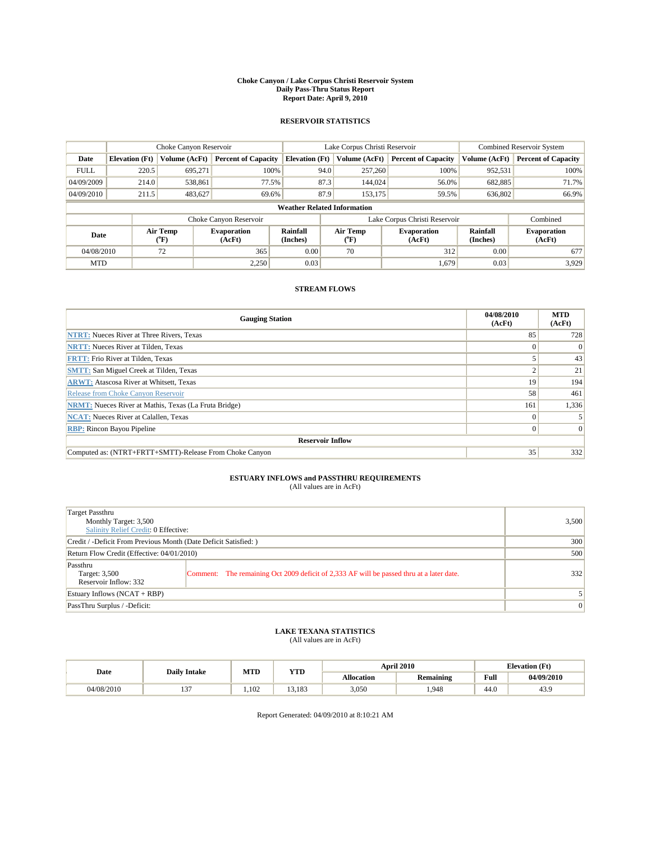#### **Choke Canyon / Lake Corpus Christi Reservoir System Daily Pass-Thru Status Report Report Date: April 9, 2010**

### **RESERVOIR STATISTICS**

|             |                       | Choke Canyon Reservoir |                              |                                    | Lake Corpus Christi Reservoir | <b>Combined Reservoir System</b>                     |               |                              |
|-------------|-----------------------|------------------------|------------------------------|------------------------------------|-------------------------------|------------------------------------------------------|---------------|------------------------------|
| Date        | <b>Elevation</b> (Ft) | Volume (AcFt)          | <b>Percent of Capacity</b>   | <b>Elevation</b> (Ft)              | Volume (AcFt)                 | <b>Percent of Capacity</b>                           | Volume (AcFt) | <b>Percent of Capacity</b>   |
| <b>FULL</b> | 220.5                 | 695,271                | 100%                         | 94.0                               | 257,260                       | 100%                                                 | 952,531       | 100%                         |
| 04/09/2009  | 214.0                 | 538,861                | 77.5%                        | 87.3                               | 144,024                       | 56.0%                                                | 682,885       | 71.7%                        |
| 04/09/2010  | 211.5                 | 483,627                | 69.6%                        | 87.9                               | 153,175                       | 59.5%                                                | 636,802       | 66.9%                        |
|             |                       |                        |                              | <b>Weather Related Information</b> |                               |                                                      |               |                              |
|             |                       |                        | Choke Canyon Reservoir       |                                    |                               | Lake Corpus Christi Reservoir                        |               | Combined                     |
| Date        |                       | Air Temp<br>(°F)       | <b>Evaporation</b><br>(AcFt) | <b>Rainfall</b><br>(Inches)        | Air Temp<br>(°F)              | Rainfall<br><b>Evaporation</b><br>(Inches)<br>(AcFt) |               | <b>Evaporation</b><br>(AcFt) |
| 04/08/2010  |                       | 72                     | 365                          | 0.00                               | 70                            | 312                                                  | 0.00          | 677                          |
| <b>MTD</b>  |                       |                        | 2,250                        | 0.03                               |                               | 1,679                                                | 0.03          | 3.929                        |

### **STREAM FLOWS**

| <b>Gauging Station</b>                                       | 04/08/2010<br>(AcFt) | <b>MTD</b><br>(AcFt) |  |  |  |  |
|--------------------------------------------------------------|----------------------|----------------------|--|--|--|--|
| <b>NTRT:</b> Nueces River at Three Rivers, Texas             | 85                   | 728                  |  |  |  |  |
| <b>NRTT:</b> Nueces River at Tilden, Texas                   |                      | $\Omega$             |  |  |  |  |
| <b>FRTT: Frio River at Tilden, Texas</b>                     |                      | 43                   |  |  |  |  |
| <b>SMTT:</b> San Miguel Creek at Tilden, Texas               |                      | 21                   |  |  |  |  |
| <b>ARWT:</b> Atascosa River at Whitsett, Texas               | 19                   | 194                  |  |  |  |  |
| Release from Choke Canyon Reservoir                          | 58                   | 461                  |  |  |  |  |
| <b>NRMT:</b> Nueces River at Mathis, Texas (La Fruta Bridge) | 161                  | 1,336                |  |  |  |  |
| <b>NCAT:</b> Nueces River at Calallen, Texas                 | $\Omega$             |                      |  |  |  |  |
| <b>RBP:</b> Rincon Bayou Pipeline                            | $\overline{0}$       | $\Omega$             |  |  |  |  |
| <b>Reservoir Inflow</b>                                      |                      |                      |  |  |  |  |
| Computed as: (NTRT+FRTT+SMTT)-Release From Choke Canyon      | 35                   | 332                  |  |  |  |  |

# **ESTUARY INFLOWS and PASSTHRU REQUIREMENTS**<br>(All values are in AcFt)

| Target Passthru<br>Monthly Target: 3,500                         | Salinity Relief Credit: 0 Effective:                                                     |                 |  |  |
|------------------------------------------------------------------|------------------------------------------------------------------------------------------|-----------------|--|--|
| Credit / -Deficit From Previous Month (Date Deficit Satisfied: ) | 300                                                                                      |                 |  |  |
| Return Flow Credit (Effective: 04/01/2010)                       |                                                                                          | 500             |  |  |
| Passthru<br>Target: 3,500<br>Reservoir Inflow: 332               | Comment: The remaining Oct 2009 deficit of 2,333 AF will be passed thru at a later date. | 332             |  |  |
| Estuary Inflows (NCAT + RBP)                                     |                                                                                          |                 |  |  |
| PassThru Surplus / -Deficit:                                     |                                                                                          | $\vert 0 \vert$ |  |  |

## **LAKE TEXANA STATISTICS** (All values are in AcFt)

|            | <b>Daily Intake</b> | MTD  | <b>YTD</b> | <b>April 2010</b> |                  |      | <b>Elevation</b> (Ft) |  |
|------------|---------------------|------|------------|-------------------|------------------|------|-----------------------|--|
| Date       |                     |      |            | <b>Allocation</b> | <b>Remaining</b> | Full | 04/09/2010            |  |
| 04/08/2010 | $\sim$<br>"         | .102 | 13.183     | 3,050             | .948             | 44.0 | 43.9                  |  |

Report Generated: 04/09/2010 at 8:10:21 AM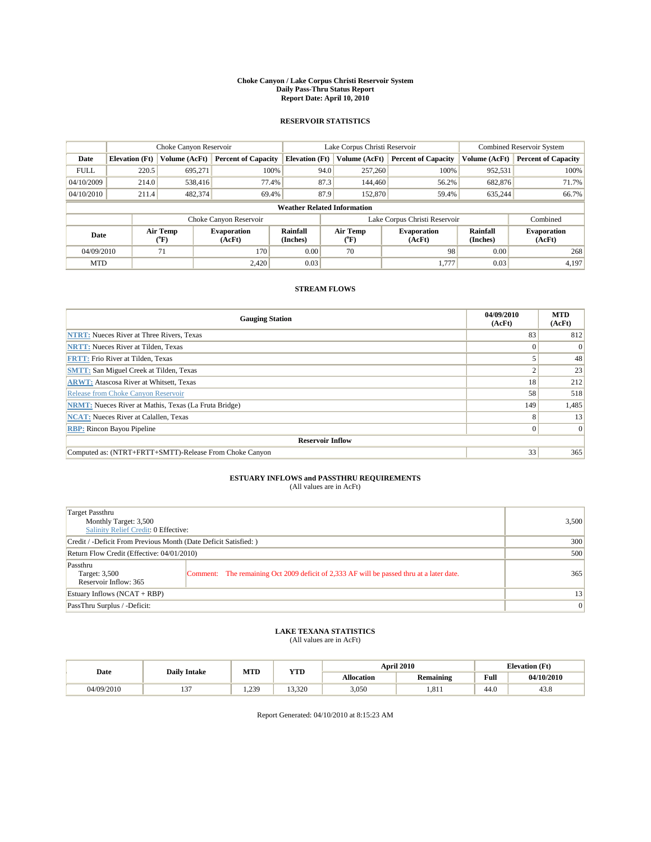#### **Choke Canyon / Lake Corpus Christi Reservoir System Daily Pass-Thru Status Report Report Date: April 10, 2010**

### **RESERVOIR STATISTICS**

|             |                       | Choke Canyon Reservoir                    |                              |                                    | Lake Corpus Christi Reservoir  | <b>Combined Reservoir System</b>                     |               |                              |
|-------------|-----------------------|-------------------------------------------|------------------------------|------------------------------------|--------------------------------|------------------------------------------------------|---------------|------------------------------|
| Date        | <b>Elevation</b> (Ft) | Volume (AcFt)                             | <b>Percent of Capacity</b>   | <b>Elevation</b> (Ft)              | Volume (AcFt)                  | <b>Percent of Capacity</b>                           | Volume (AcFt) | <b>Percent of Capacity</b>   |
| <b>FULL</b> | 220.5                 | 695,271                                   | 100%                         | 94.0                               | 257,260                        | 100%                                                 | 952,531       | 100%                         |
| 04/10/2009  | 214.0                 | 538,416                                   | 77.4%                        | 87.3                               | 144,460                        | 56.2%                                                | 682,876       | 71.7%                        |
| 04/10/2010  | 211.4                 | 482,374                                   | 69.4%                        | 87.9                               | 152,870                        | 59.4%                                                | 635,244       | 66.7%                        |
|             |                       |                                           |                              | <b>Weather Related Information</b> |                                |                                                      |               |                              |
|             |                       |                                           | Choke Canyon Reservoir       |                                    |                                | Lake Corpus Christi Reservoir                        |               | Combined                     |
| Date        |                       | Air Temp<br>$({}^{\mathrm{o}}\mathrm{F})$ | <b>Evaporation</b><br>(AcFt) | Rainfall<br>(Inches)               | Air Temp<br>$({}^o\mathrm{F})$ | Rainfall<br><b>Evaporation</b><br>(Inches)<br>(AcFt) |               | <b>Evaporation</b><br>(AcFt) |
| 04/09/2010  |                       | 71                                        | 170                          | 0.00                               | 70                             | 98                                                   | 0.00          | 268                          |
| <b>MTD</b>  |                       |                                           | 2.420                        | 0.03                               |                                | 1.777                                                | 0.03          | 4,197                        |

### **STREAM FLOWS**

| <b>Gauging Station</b>                                       | 04/09/2010<br>(AcFt) | <b>MTD</b><br>(AcFt) |  |  |  |  |
|--------------------------------------------------------------|----------------------|----------------------|--|--|--|--|
| <b>NTRT:</b> Nueces River at Three Rivers, Texas             | 83                   | 812                  |  |  |  |  |
| <b>NRTT:</b> Nueces River at Tilden, Texas                   |                      | $\Omega$             |  |  |  |  |
| <b>FRTT: Frio River at Tilden, Texas</b>                     |                      | 48                   |  |  |  |  |
| <b>SMTT:</b> San Miguel Creek at Tilden, Texas               |                      | 23                   |  |  |  |  |
| <b>ARWT:</b> Atascosa River at Whitsett, Texas               | 18                   | 212                  |  |  |  |  |
| Release from Choke Canyon Reservoir                          | 58                   | 518                  |  |  |  |  |
| <b>NRMT:</b> Nueces River at Mathis, Texas (La Fruta Bridge) | 149                  | 1,485                |  |  |  |  |
| <b>NCAT:</b> Nueces River at Calallen, Texas                 | 8                    | 13                   |  |  |  |  |
| <b>RBP:</b> Rincon Bayou Pipeline                            | $\overline{0}$       | $\Omega$             |  |  |  |  |
| <b>Reservoir Inflow</b>                                      |                      |                      |  |  |  |  |
| Computed as: (NTRT+FRTT+SMTT)-Release From Choke Canyon      | 33                   | 365                  |  |  |  |  |

# **ESTUARY INFLOWS and PASSTHRU REQUIREMENTS**<br>(All values are in AcFt)

| Target Passthru<br>Monthly Target: 3,500<br>Salinity Relief Credit: 0 Effective: | 3,500                                                                                    |                 |
|----------------------------------------------------------------------------------|------------------------------------------------------------------------------------------|-----------------|
| Credit / -Deficit From Previous Month (Date Deficit Satisfied: )                 | 300                                                                                      |                 |
| Return Flow Credit (Effective: 04/01/2010)                                       | 500                                                                                      |                 |
| Passthru<br>Target: 3,500<br>Reservoir Inflow: 365                               | Comment: The remaining Oct 2009 deficit of 2,333 AF will be passed thru at a later date. | 365             |
| Estuary Inflows (NCAT + RBP)                                                     | 13                                                                                       |                 |
| PassThru Surplus / -Deficit:                                                     |                                                                                          | $\vert 0 \vert$ |

## **LAKE TEXANA STATISTICS** (All values are in AcFt)

| Date       | <b>Daily Intake</b> | MTD             | <b>YTD</b> |                   | <b>April 2010</b> |                                       | <b>Elevation</b> (Ft)   |
|------------|---------------------|-----------------|------------|-------------------|-------------------|---------------------------------------|-------------------------|
|            |                     |                 |            | <b>Allocation</b> | <b>Remaining</b>  | Full                                  | 04/10/2010              |
| 04/09/2010 | $\sim$<br>"         | 239<br>. د ستمب | 13.320     | 3,050             | .811              | $\overline{A}$ $\overline{C}$<br>44.U | $\overline{10}$<br>43.8 |

Report Generated: 04/10/2010 at 8:15:23 AM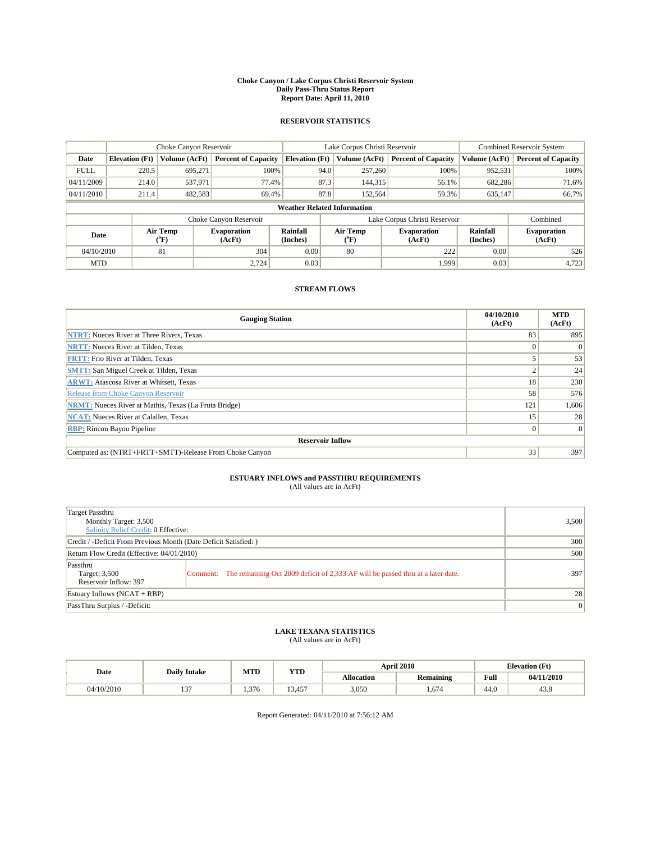#### **Choke Canyon / Lake Corpus Christi Reservoir System Daily Pass-Thru Status Report Report Date: April 11, 2010**

### **RESERVOIR STATISTICS**

|             |                       | Choke Canyon Reservoir |                              |                                    | Lake Corpus Christi Reservoir | <b>Combined Reservoir System</b>                     |               |                              |
|-------------|-----------------------|------------------------|------------------------------|------------------------------------|-------------------------------|------------------------------------------------------|---------------|------------------------------|
| Date        | <b>Elevation</b> (Ft) | Volume (AcFt)          | <b>Percent of Capacity</b>   | <b>Elevation</b> (Ft)              | Volume (AcFt)                 | <b>Percent of Capacity</b>                           | Volume (AcFt) | <b>Percent of Capacity</b>   |
| <b>FULL</b> | 220.5                 | 695.271                | 100%                         | 94.0                               | 257,260                       | 100%                                                 | 952,531       | 100%                         |
| 04/11/2009  | 214.0                 | 537,971                | 77.4%                        | 87.3                               | 144,315                       | 56.1%                                                | 682,286       | 71.6%                        |
| 04/11/2010  | 211.4                 | 482,583                | 69.4%                        | 87.8                               | 152,564                       | 59.3%                                                | 635,147       | 66.7%                        |
|             |                       |                        |                              | <b>Weather Related Information</b> |                               |                                                      |               |                              |
|             |                       |                        | Choke Canyon Reservoir       |                                    |                               | Lake Corpus Christi Reservoir                        |               | Combined                     |
| Date        |                       | Air Temp<br>(°F)       | <b>Evaporation</b><br>(AcFt) | Rainfall<br>(Inches)               | Air Temp<br>("F)              | Rainfall<br><b>Evaporation</b><br>(Inches)<br>(AcFt) |               | <b>Evaporation</b><br>(AcFt) |
| 04/10/2010  |                       | 81                     | 304                          | 0.00                               | 80                            | 222                                                  | 0.00          | 526                          |
| <b>MTD</b>  |                       |                        | 2.724                        | 0.03                               |                               | 1.999                                                | 0.03          | 4,723                        |

### **STREAM FLOWS**

| <b>Gauging Station</b>                                       | 04/10/2010<br>(AcFt) | <b>MTD</b><br>(AcFt) |  |  |  |  |
|--------------------------------------------------------------|----------------------|----------------------|--|--|--|--|
| <b>NTRT:</b> Nueces River at Three Rivers, Texas             | 83                   | 895                  |  |  |  |  |
| <b>NRTT:</b> Nueces River at Tilden, Texas                   | $\Omega$             | $\Omega$             |  |  |  |  |
| <b>FRTT: Frio River at Tilden, Texas</b>                     |                      | 53                   |  |  |  |  |
| <b>SMTT: San Miguel Creek at Tilden, Texas</b>               |                      | 24                   |  |  |  |  |
| <b>ARWT:</b> Atascosa River at Whitsett, Texas               | 18                   | 230                  |  |  |  |  |
| Release from Choke Canyon Reservoir                          | 58                   | 576                  |  |  |  |  |
| <b>NRMT:</b> Nueces River at Mathis, Texas (La Fruta Bridge) | 121                  | 1,606                |  |  |  |  |
| <b>NCAT:</b> Nueces River at Calallen, Texas                 | 15                   | 28                   |  |  |  |  |
| <b>RBP:</b> Rincon Bayou Pipeline                            | $\overline{0}$       | $\Omega$             |  |  |  |  |
| <b>Reservoir Inflow</b>                                      |                      |                      |  |  |  |  |
| Computed as: (NTRT+FRTT+SMTT)-Release From Choke Canyon      | 33                   | 397                  |  |  |  |  |

## **ESTUARY INFLOWS and PASSTHRU REQUIREMENTS**

| <b>Target Passthru</b><br>Monthly Target: 3,500<br>Salinity Relief Credit: 0 Effective: | 3,500                                                                                    |     |
|-----------------------------------------------------------------------------------------|------------------------------------------------------------------------------------------|-----|
| Credit / -Deficit From Previous Month (Date Deficit Satisfied: )                        | 300                                                                                      |     |
| Return Flow Credit (Effective: 04/01/2010)                                              |                                                                                          | 500 |
| Passthru<br>Target: 3,500<br>Reservoir Inflow: 397                                      | Comment: The remaining Oct 2009 deficit of 2,333 AF will be passed thru at a later date. | 397 |
| Estuary Inflows (NCAT + RBP)                                                            | 28                                                                                       |     |
| PassThru Surplus / -Deficit:                                                            |                                                                                          | 0   |

## **LAKE TEXANA STATISTICS** (All values are in AcFt)

|            | MTD<br><b>YTD</b><br><b>Daily Intake</b> |      |                     | <b>April 2010</b> | <b>Elevation</b> (Ft) |      |            |
|------------|------------------------------------------|------|---------------------|-------------------|-----------------------|------|------------|
| Date       |                                          |      |                     | <b>Allocation</b> | <b>Remaining</b>      | Full | 04/11/2010 |
| 04/10/2010 | $\sim$<br>"'                             | .376 | $\sim$<br>,457<br>. | 3,050             | .674                  | 44.0 | 43.8       |

Report Generated: 04/11/2010 at 7:56:12 AM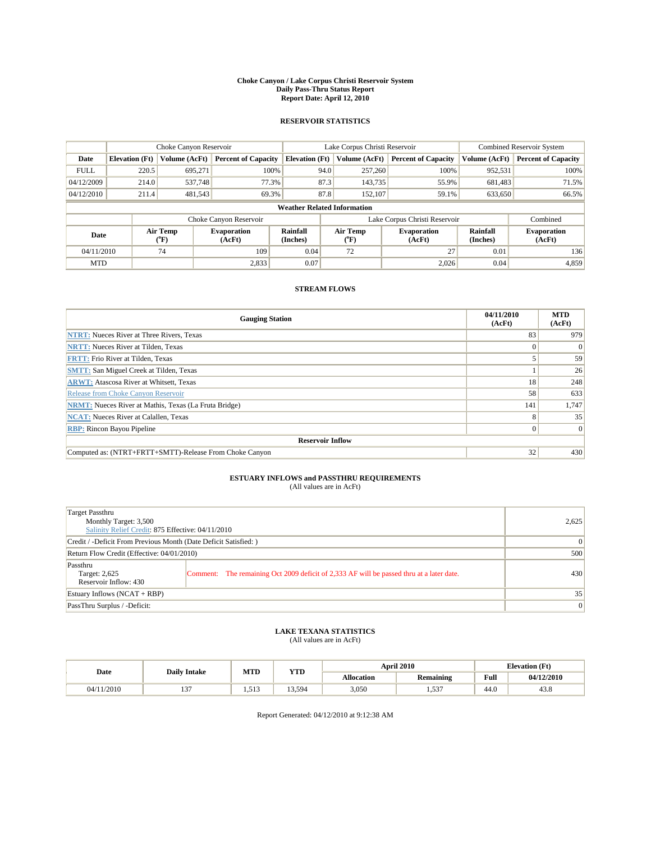#### **Choke Canyon / Lake Corpus Christi Reservoir System Daily Pass-Thru Status Report Report Date: April 12, 2010**

### **RESERVOIR STATISTICS**

|             |                       | Choke Canyon Reservoir |                              |                             | Lake Corpus Christi Reservoir                    |                            |                      | Combined Reservoir System    |  |  |
|-------------|-----------------------|------------------------|------------------------------|-----------------------------|--------------------------------------------------|----------------------------|----------------------|------------------------------|--|--|
| Date        | <b>Elevation</b> (Ft) | Volume (AcFt)          | <b>Percent of Capacity</b>   | <b>Elevation</b> (Ft)       | Volume (AcFt)                                    | <b>Percent of Capacity</b> | Volume (AcFt)        | <b>Percent of Capacity</b>   |  |  |
| <b>FULL</b> | 220.5                 | 695,271                | 100%                         |                             | 94.0<br>257,260                                  | 100%                       | 952,531              | 100%                         |  |  |
| 04/12/2009  | 214.0                 | 537,748                | 77.3%                        |                             | 87.3<br>143,735                                  | 55.9%                      | 681,483              | 71.5%                        |  |  |
| 04/12/2010  | 211.4                 | 481,543                | 69.3%                        |                             | 87.8<br>152,107                                  | 59.1%                      | 633,650              | 66.5%                        |  |  |
|             |                       |                        |                              |                             | <b>Weather Related Information</b>               |                            |                      |                              |  |  |
|             |                       |                        | Choke Canyon Reservoir       |                             | Lake Corpus Christi Reservoir                    |                            |                      | Combined                     |  |  |
| Date        |                       | Air Temp<br>(°F)       | <b>Evaporation</b><br>(AcFt) | <b>Rainfall</b><br>(Inches) | Air Temp<br><b>Evaporation</b><br>(AcFt)<br>(°F) |                            | Rainfall<br>(Inches) | <b>Evaporation</b><br>(AcFt) |  |  |
| 04/11/2010  |                       | 74                     | 109                          | 0.04                        | 72                                               | 27                         | 0.01                 | 136                          |  |  |
| <b>MTD</b>  |                       |                        | 2,833                        | 0.07                        |                                                  | 2.026                      | 0.04                 | 4,859                        |  |  |

### **STREAM FLOWS**

| <b>Gauging Station</b>                                       | 04/11/2010<br>(AcFt) | <b>MTD</b><br>(AcFt) |
|--------------------------------------------------------------|----------------------|----------------------|
| <b>NTRT:</b> Nueces River at Three Rivers, Texas             | 83                   | 979                  |
| <b>NRTT:</b> Nueces River at Tilden, Texas                   | $\Omega$             | $\Omega$             |
| <b>FRTT: Frio River at Tilden, Texas</b>                     |                      | 59                   |
| <b>SMTT:</b> San Miguel Creek at Tilden, Texas               |                      | 26                   |
| <b>ARWT:</b> Atascosa River at Whitsett, Texas               | 18                   | 248                  |
| Release from Choke Canyon Reservoir                          | 58                   | 633                  |
| <b>NRMT:</b> Nueces River at Mathis, Texas (La Fruta Bridge) | 141                  | 1,747                |
| <b>NCAT:</b> Nueces River at Calallen, Texas                 | 8                    | 35                   |
| <b>RBP:</b> Rincon Bayou Pipeline                            | $\overline{0}$       | $\Omega$             |
| <b>Reservoir Inflow</b>                                      |                      |                      |
| Computed as: (NTRT+FRTT+SMTT)-Release From Choke Canyon      | 32                   | 430                  |

## **ESTUARY INFLOWS and PASSTHRU REQUIREMENTS**

|  | (All values are in AcFt) |  |
|--|--------------------------|--|
|--|--------------------------|--|

| Target Passthru<br>Monthly Target: 3,500<br>Salinity Relief Credit: 875 Effective: 04/11/2010 |                                                                                          |     |  |  |  |
|-----------------------------------------------------------------------------------------------|------------------------------------------------------------------------------------------|-----|--|--|--|
| Credit / -Deficit From Previous Month (Date Deficit Satisfied: )                              |                                                                                          |     |  |  |  |
| Return Flow Credit (Effective: 04/01/2010)                                                    |                                                                                          |     |  |  |  |
| Passthru<br>Target: 2,625<br>Reservoir Inflow: 430                                            | Comment: The remaining Oct 2009 deficit of 2,333 AF will be passed thru at a later date. | 430 |  |  |  |
| Estuary Inflows (NCAT + RBP)                                                                  | 35                                                                                       |     |  |  |  |
| PassThru Surplus / -Deficit:                                                                  | $\vert 0 \vert$                                                                          |     |  |  |  |

### **LAKE TEXANA STATISTICS** (All values are in AcFt)

|            |                     | MTD   | <b>YTD</b> | <b>April 2010</b> |           | <b>Elevation</b> (Ft)                              |            |
|------------|---------------------|-------|------------|-------------------|-----------|----------------------------------------------------|------------|
| Date       | <b>Daily Intake</b> |       |            | Allocation        | Remaining | <b>Full</b><br>the contract of the contract of the | 04/12/2010 |
| 04/11/2010 | $\sim$<br>ιJ        | 1.513 | 13.594     | 3,050             | 1.537     | 44.0                                               | 43.8       |

Report Generated: 04/12/2010 at 9:12:38 AM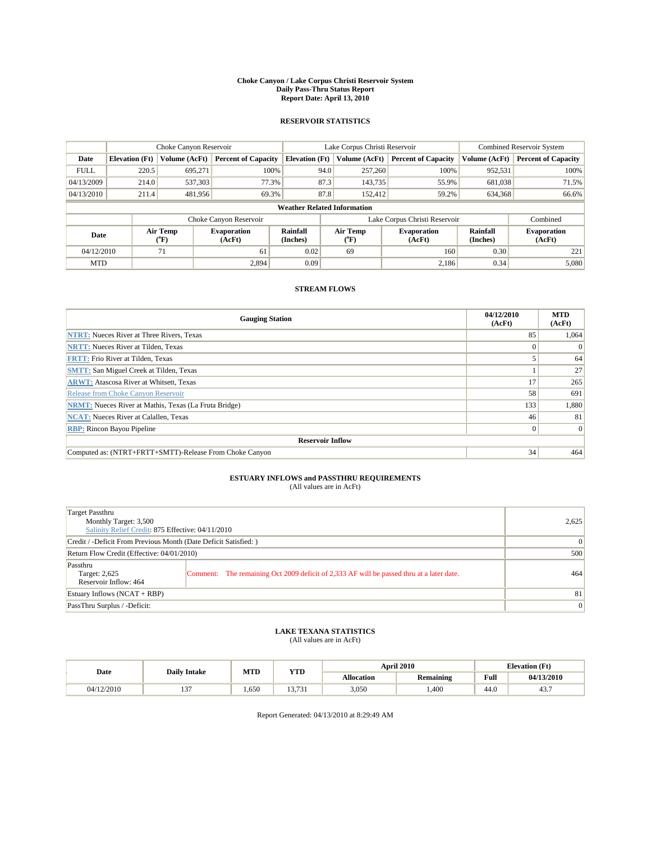#### **Choke Canyon / Lake Corpus Christi Reservoir System Daily Pass-Thru Status Report Report Date: April 13, 2010**

### **RESERVOIR STATISTICS**

|             |                       | Choke Canyon Reservoir |                              |                             | Lake Corpus Christi Reservoir                                  |                            |                      | <b>Combined Reservoir System</b> |  |  |
|-------------|-----------------------|------------------------|------------------------------|-----------------------------|----------------------------------------------------------------|----------------------------|----------------------|----------------------------------|--|--|
| Date        | <b>Elevation</b> (Ft) | Volume (AcFt)          | <b>Percent of Capacity</b>   | <b>Elevation</b> (Ft)       | Volume (AcFt)                                                  | <b>Percent of Capacity</b> | Volume (AcFt)        | <b>Percent of Capacity</b>       |  |  |
| <b>FULL</b> | 220.5                 | 695,271                | 100%                         |                             | 94.0<br>257,260                                                | 100%                       | 952,531              | 100%                             |  |  |
| 04/13/2009  | 214.0                 | 537,303                | 77.3%                        |                             | 87.3<br>143,735                                                | 55.9%                      | 681,038              | 71.5%                            |  |  |
| 04/13/2010  | 211.4                 | 481,956                | 69.3%                        |                             | 87.8<br>152,412                                                | 59.2%                      | 634,368              | 66.6%                            |  |  |
|             |                       |                        |                              |                             | <b>Weather Related Information</b>                             |                            |                      |                                  |  |  |
|             |                       |                        | Choke Canyon Reservoir       |                             | Lake Corpus Christi Reservoir                                  |                            |                      | Combined                         |  |  |
| Date        |                       | Air Temp<br>(°F)       | <b>Evaporation</b><br>(AcFt) | <b>Rainfall</b><br>(Inches) | Air Temp<br><b>Evaporation</b><br>(AcFt)<br>$({}^o\mathrm{F})$ |                            | Rainfall<br>(Inches) | <b>Evaporation</b><br>(AcFt)     |  |  |
| 04/12/2010  |                       | 71                     | 61                           | 0.02                        | 69                                                             | 160                        | 0.30                 | 221                              |  |  |
| <b>MTD</b>  |                       |                        | 2.894                        | 0.09                        |                                                                | 2.186                      | 0.34                 | 5,080                            |  |  |

### **STREAM FLOWS**

| <b>Gauging Station</b>                                       | 04/12/2010<br>(AcFt) | <b>MTD</b><br>(AcFt) |
|--------------------------------------------------------------|----------------------|----------------------|
| <b>NTRT:</b> Nueces River at Three Rivers, Texas             | 85                   | 1,064                |
| <b>NRTT:</b> Nueces River at Tilden, Texas                   |                      |                      |
| <b>FRTT: Frio River at Tilden, Texas</b>                     |                      | 64                   |
| <b>SMTT: San Miguel Creek at Tilden, Texas</b>               |                      | 27                   |
| <b>ARWT:</b> Atascosa River at Whitsett, Texas               | 17                   | 265                  |
| Release from Choke Canyon Reservoir                          | 58                   | 691                  |
| <b>NRMT:</b> Nueces River at Mathis, Texas (La Fruta Bridge) | 133                  | 1,880                |
| <b>NCAT:</b> Nueces River at Calallen, Texas                 | 46                   | 81                   |
| <b>RBP:</b> Rincon Bayou Pipeline                            | $\overline{0}$       | $\Omega$             |
| <b>Reservoir Inflow</b>                                      |                      |                      |
| Computed as: (NTRT+FRTT+SMTT)-Release From Choke Canyon      | 34                   | 464                  |

## **ESTUARY INFLOWS and PASSTHRU REQUIREMENTS**

|  | (All values are in AcFt) |
|--|--------------------------|
|--|--------------------------|

| Target Passthru<br>Monthly Target: 3,500<br>Salinity Relief Credit: 875 Effective: 04/11/2010 |                                                                                          |     |  |  |  |
|-----------------------------------------------------------------------------------------------|------------------------------------------------------------------------------------------|-----|--|--|--|
| Credit / -Deficit From Previous Month (Date Deficit Satisfied: )                              |                                                                                          |     |  |  |  |
| Return Flow Credit (Effective: 04/01/2010)                                                    |                                                                                          |     |  |  |  |
| Passthru<br>Target: 2,625<br>Reservoir Inflow: 464                                            | Comment: The remaining Oct 2009 deficit of 2,333 AF will be passed thru at a later date. | 464 |  |  |  |
| Estuary Inflows (NCAT + RBP)                                                                  | 81                                                                                       |     |  |  |  |
| PassThru Surplus / -Deficit:                                                                  |                                                                                          | 0   |  |  |  |

### **LAKE TEXANA STATISTICS** (All values are in AcFt)

|            | <b>Daily Intake</b>      | MTD | <b>YTD</b>      |            | <b>April 2010</b> |                                                    | <b>Elevation</b> (Ft) |
|------------|--------------------------|-----|-----------------|------------|-------------------|----------------------------------------------------|-----------------------|
| Date       |                          |     |                 | Allocation | <b>Remaining</b>  | <b>Full</b><br>the contract of the contract of the | 04/13/2010            |
| 04/12/2010 | $\sim$<br>$\overline{1}$ | 650 | 12721<br>15.751 | 3,050      | .400              | 44.0                                               | 43.7                  |

Report Generated: 04/13/2010 at 8:29:49 AM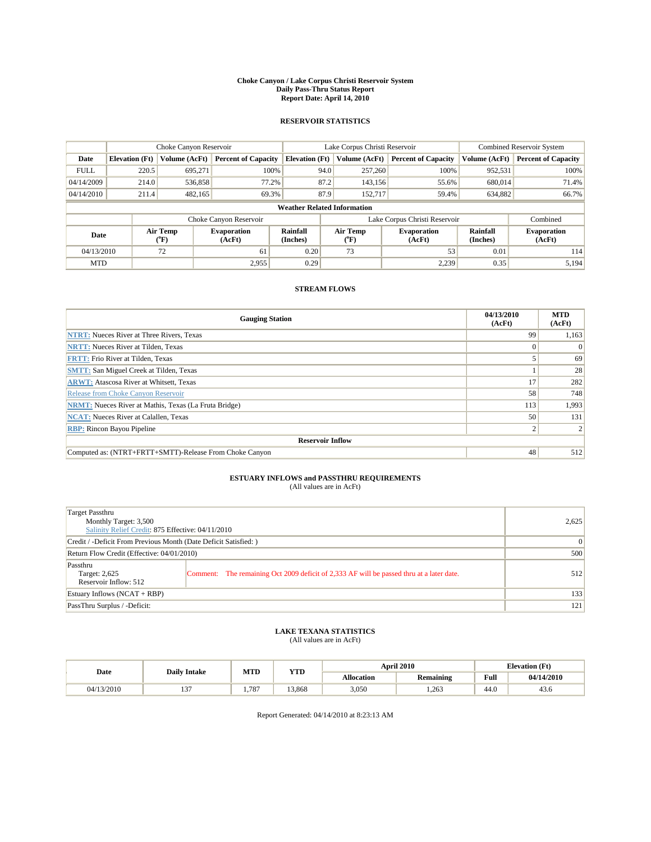#### **Choke Canyon / Lake Corpus Christi Reservoir System Daily Pass-Thru Status Report Report Date: April 14, 2010**

### **RESERVOIR STATISTICS**

|             |                       | Choke Canyon Reservoir |                              |                                    | Lake Corpus Christi Reservoir                    |                            |                      | <b>Combined Reservoir System</b> |  |  |
|-------------|-----------------------|------------------------|------------------------------|------------------------------------|--------------------------------------------------|----------------------------|----------------------|----------------------------------|--|--|
| Date        | <b>Elevation</b> (Ft) | Volume (AcFt)          | <b>Percent of Capacity</b>   | <b>Elevation</b> (Ft)              | Volume (AcFt)                                    | <b>Percent of Capacity</b> | Volume (AcFt)        | <b>Percent of Capacity</b>       |  |  |
| <b>FULL</b> | 220.5                 | 695,271                | 100%                         | 94.0                               | 257,260                                          | 100%                       | 952,531              | 100%                             |  |  |
| 04/14/2009  | 214.0                 | 536,858                | 77.2%                        | 87.2                               | 143,156                                          | 55.6%                      | 680,014              | 71.4%                            |  |  |
| 04/14/2010  | 211.4                 | 482,165                | 69.3%                        | 87.9                               | 152,717                                          | 59.4%                      | 634,882              | 66.7%                            |  |  |
|             |                       |                        |                              | <b>Weather Related Information</b> |                                                  |                            |                      |                                  |  |  |
|             |                       |                        | Choke Canyon Reservoir       |                                    | Lake Corpus Christi Reservoir                    |                            |                      | Combined                         |  |  |
| Date        |                       | Air Temp<br>(°F)       | <b>Evaporation</b><br>(AcFt) | Rainfall<br>(Inches)               | Air Temp<br><b>Evaporation</b><br>(AcFt)<br>("F) |                            | Rainfall<br>(Inches) | <b>Evaporation</b><br>(AcFt)     |  |  |
| 04/13/2010  |                       | 72                     | 61                           | 0.20                               | 73                                               | 53                         | 0.01                 | 114                              |  |  |
| <b>MTD</b>  |                       |                        | 2,955                        | 0.29                               |                                                  | 2,239                      | 0.35                 | 5,194                            |  |  |

### **STREAM FLOWS**

| <b>Gauging Station</b>                                       | 04/13/2010<br>(AcFt) | <b>MTD</b><br>(AcFt) |  |  |  |  |
|--------------------------------------------------------------|----------------------|----------------------|--|--|--|--|
| <b>NTRT:</b> Nueces River at Three Rivers, Texas             | 99                   | 1,163                |  |  |  |  |
| <b>NRTT:</b> Nueces River at Tilden, Texas                   | 0                    |                      |  |  |  |  |
| <b>FRTT: Frio River at Tilden, Texas</b>                     |                      | 69                   |  |  |  |  |
| <b>SMTT: San Miguel Creek at Tilden, Texas</b>               |                      | 28                   |  |  |  |  |
| <b>ARWT:</b> Atascosa River at Whitsett, Texas               | 17                   | 282                  |  |  |  |  |
| Release from Choke Canyon Reservoir                          | 58                   | 748                  |  |  |  |  |
| <b>NRMT:</b> Nueces River at Mathis, Texas (La Fruta Bridge) | 113                  | 1,993                |  |  |  |  |
| <b>NCAT:</b> Nueces River at Calallen, Texas                 | 50                   | 131                  |  |  |  |  |
| <b>RBP:</b> Rincon Bayou Pipeline                            |                      |                      |  |  |  |  |
| <b>Reservoir Inflow</b>                                      |                      |                      |  |  |  |  |
| Computed as: (NTRT+FRTT+SMTT)-Release From Choke Canyon      | 48                   | 512                  |  |  |  |  |

### **ESTUARY INFLOWS and PASSTHRU REQUIREMENTS**

|  | (All values are in AcFt) |
|--|--------------------------|
|--|--------------------------|

| <b>Target Passthru</b><br>Monthly Target: 3,500<br>Salinity Relief Credit: 875 Effective: 04/11/2010 |                                                                                          | 2,625 |
|------------------------------------------------------------------------------------------------------|------------------------------------------------------------------------------------------|-------|
| Credit / -Deficit From Previous Month (Date Deficit Satisfied: )                                     | $\vert 0 \vert$                                                                          |       |
| Return Flow Credit (Effective: 04/01/2010)                                                           |                                                                                          | 500   |
| Passthru<br>Target: 2,625<br>Reservoir Inflow: 512                                                   | Comment: The remaining Oct 2009 deficit of 2,333 AF will be passed thru at a later date. | 512   |
| Estuary Inflows $(NCAT + RBP)$                                                                       | 133                                                                                      |       |
| PassThru Surplus / -Deficit:                                                                         |                                                                                          | 121   |

### **LAKE TEXANA STATISTICS** (All values are in AcFt)

|            | <b>Daily Intake</b>      | MTD   | <b>YTD</b> |            | <b>April 2010</b> | <b>Elevation</b> (Ft)                              |            |
|------------|--------------------------|-------|------------|------------|-------------------|----------------------------------------------------|------------|
| Date       |                          |       |            | Allocation | Remaining         | <b>Full</b><br>the contract of the contract of the | 04/14/2010 |
| 04/13/2010 | $\sim$<br>$\overline{1}$ | 1.787 | 13.868     | 3,050      | 1.263             | 44.0                                               | 43.6       |

Report Generated: 04/14/2010 at 8:23:13 AM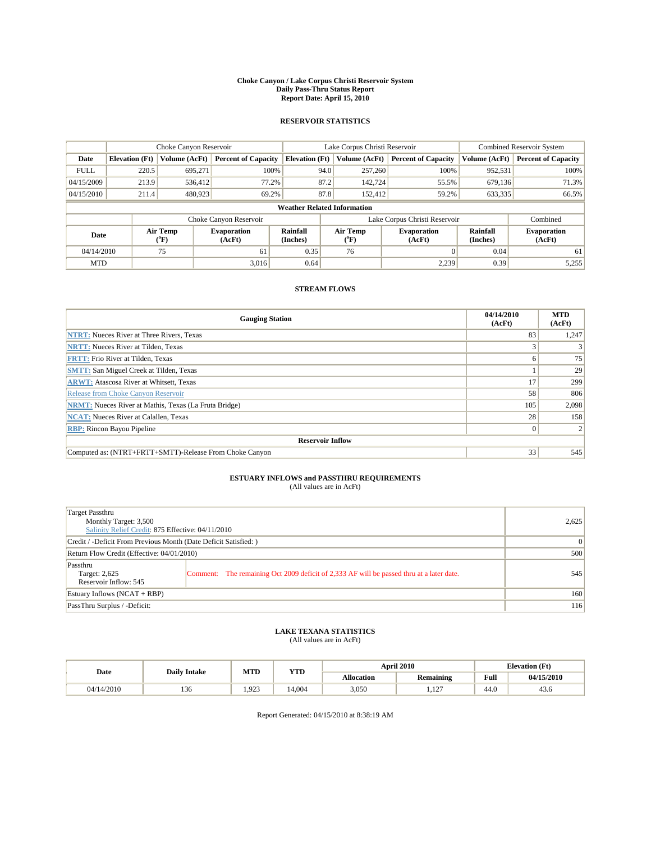#### **Choke Canyon / Lake Corpus Christi Reservoir System Daily Pass-Thru Status Report Report Date: April 15, 2010**

### **RESERVOIR STATISTICS**

|             | Choke Canyon Reservoir |                          |                              |                                    | Lake Corpus Christi Reservoir                    |               |                               |                              | <b>Combined Reservoir System</b> |  |
|-------------|------------------------|--------------------------|------------------------------|------------------------------------|--------------------------------------------------|---------------|-------------------------------|------------------------------|----------------------------------|--|
| Date        | <b>Elevation</b> (Ft)  | Volume (AcFt)            | <b>Percent of Capacity</b>   | <b>Elevation</b> (Ft)              |                                                  | Volume (AcFt) | <b>Percent of Capacity</b>    | Volume (AcFt)                | <b>Percent of Capacity</b>       |  |
| <b>FULL</b> | 220.5                  | 695,271                  | 100%                         |                                    | 94.0                                             | 257,260       | 100%                          | 952,531                      | 100%                             |  |
| 04/15/2009  | 213.9                  | 536.412                  | 77.2%                        |                                    | 87.2                                             | 142,724       | 55.5%                         | 679,136                      | 71.3%                            |  |
| 04/15/2010  | 211.4                  | 480,923                  | 69.2%                        |                                    | 87.8                                             | 152.412       | 59.2%                         | 633,335                      | 66.5%                            |  |
|             |                        |                          |                              | <b>Weather Related Information</b> |                                                  |               |                               |                              |                                  |  |
|             |                        |                          | Choke Canyon Reservoir       |                                    |                                                  |               | Lake Corpus Christi Reservoir |                              | Combined                         |  |
| Date        |                        | Air Temp<br>$\rm ^{o}F)$ | <b>Evaporation</b><br>(AcFt) | Rainfall<br>(Inches)               | Air Temp<br><b>Evaporation</b><br>(AcFt)<br>("F) |               | Rainfall<br>(Inches)          | <b>Evaporation</b><br>(AcFt) |                                  |  |
| 04/14/2010  |                        | 75                       | 61                           | 0.35                               |                                                  | 76            |                               | 0.04                         | 61                               |  |
| <b>MTD</b>  |                        |                          | 3.016                        | 0.64                               |                                                  |               | 2,239                         | 0.39                         | 5,255                            |  |

### **STREAM FLOWS**

| <b>Gauging Station</b>                                       | 04/14/2010<br>(AcFt) | <b>MTD</b><br>(AcFt) |  |  |  |  |
|--------------------------------------------------------------|----------------------|----------------------|--|--|--|--|
| <b>NTRT:</b> Nueces River at Three Rivers, Texas             | 83                   | 1,247                |  |  |  |  |
| <b>NRTT:</b> Nueces River at Tilden, Texas                   |                      |                      |  |  |  |  |
| <b>FRTT: Frio River at Tilden, Texas</b>                     | 6                    | 75                   |  |  |  |  |
| <b>SMTT: San Miguel Creek at Tilden, Texas</b>               |                      | 29                   |  |  |  |  |
| <b>ARWT:</b> Atascosa River at Whitsett, Texas               | 17                   | 299                  |  |  |  |  |
| Release from Choke Canyon Reservoir                          | 58                   | 806                  |  |  |  |  |
| <b>NRMT:</b> Nueces River at Mathis, Texas (La Fruta Bridge) | 105                  | 2,098                |  |  |  |  |
| <b>NCAT:</b> Nueces River at Calallen, Texas                 | 28                   | 158                  |  |  |  |  |
| <b>RBP:</b> Rincon Bayou Pipeline                            | $\vert 0 \vert$      |                      |  |  |  |  |
| <b>Reservoir Inflow</b>                                      |                      |                      |  |  |  |  |
| Computed as: (NTRT+FRTT+SMTT)-Release From Choke Canyon      | 33                   | 545                  |  |  |  |  |

## **ESTUARY INFLOWS and PASSTHRU REQUIREMENTS**

|  | (All values are in AcFt) |  |
|--|--------------------------|--|
|--|--------------------------|--|

| Target Passthru<br>Monthly Target: 3,500<br>Salinity Relief Credit: 875 Effective: 04/11/2010 | 2,625                                                                                    |     |
|-----------------------------------------------------------------------------------------------|------------------------------------------------------------------------------------------|-----|
| Credit / -Deficit From Previous Month (Date Deficit Satisfied: )                              | $\Omega$                                                                                 |     |
| Return Flow Credit (Effective: 04/01/2010)                                                    |                                                                                          | 500 |
| Passthru<br>Target: 2,625<br>Reservoir Inflow: 545                                            | Comment: The remaining Oct 2009 deficit of 2,333 AF will be passed thru at a later date. | 545 |
| Estuary Inflows (NCAT + RBP)                                                                  | 160                                                                                      |     |
| PassThru Surplus / -Deficit:                                                                  |                                                                                          | 116 |

## **LAKE TEXANA STATISTICS** (All values are in AcFt)

|            | <b>Daily Intake</b> | MTD   | <b>YTD</b> |            | <b>April 2010</b> | <b>Elevation</b> (Ft)                              |            |
|------------|---------------------|-------|------------|------------|-------------------|----------------------------------------------------|------------|
| Date       |                     |       |            | Allocation | Remaining         | <b>Full</b><br>the contract of the contract of the | 04/15/2010 |
| 04/14/2010 | 10<<br>1.JU         | 1.923 | 14.004     | 3,050      | 107<br>$1.12$ .   | 44.0                                               | 43.6       |

Report Generated: 04/15/2010 at 8:38:19 AM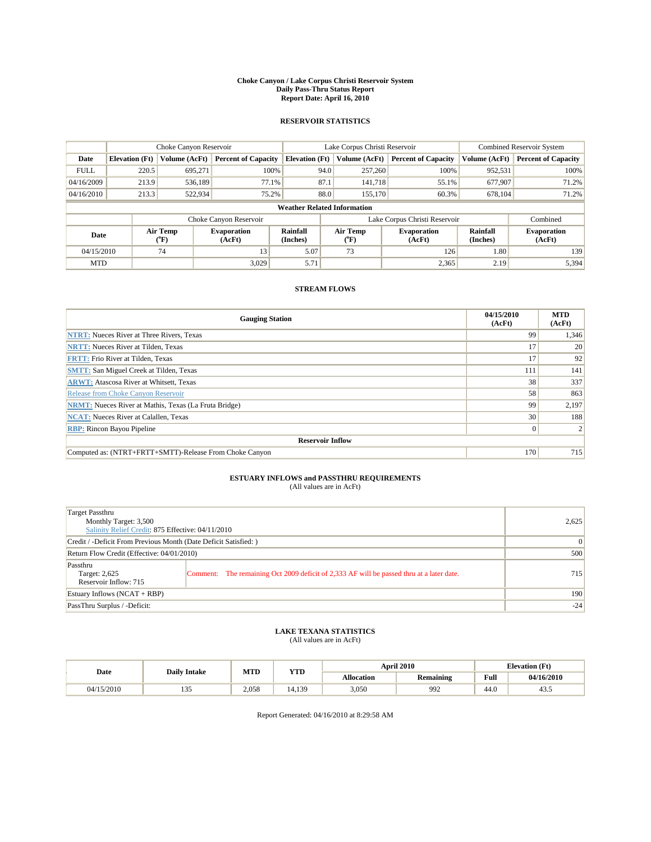#### **Choke Canyon / Lake Corpus Christi Reservoir System Daily Pass-Thru Status Report Report Date: April 16, 2010**

### **RESERVOIR STATISTICS**

|             | Choke Canyon Reservoir |                          |                              |                                    | Lake Corpus Christi Reservoir                    |               |                               |                              | <b>Combined Reservoir System</b> |  |
|-------------|------------------------|--------------------------|------------------------------|------------------------------------|--------------------------------------------------|---------------|-------------------------------|------------------------------|----------------------------------|--|
| Date        | <b>Elevation</b> (Ft)  | Volume (AcFt)            | <b>Percent of Capacity</b>   | <b>Elevation</b> (Ft)              |                                                  | Volume (AcFt) | <b>Percent of Capacity</b>    | Volume (AcFt)                | <b>Percent of Capacity</b>       |  |
| <b>FULL</b> | 220.5                  | 695,271                  | 100%                         |                                    | 94.0                                             | 257,260       | 100%                          | 952,531                      | 100%                             |  |
| 04/16/2009  | 213.9                  | 536,189                  | 77.1%                        |                                    | 87.1                                             | 141.718       | 55.1%                         | 677,907                      | 71.2%                            |  |
| 04/16/2010  | 213.3                  | 522,934                  | 75.2%                        |                                    | 88.0                                             | 155,170       | 60.3%                         | 678.104                      | 71.2%                            |  |
|             |                        |                          |                              | <b>Weather Related Information</b> |                                                  |               |                               |                              |                                  |  |
|             |                        |                          | Choke Canyon Reservoir       |                                    |                                                  |               | Lake Corpus Christi Reservoir |                              | Combined                         |  |
| Date        |                        | Air Temp<br>$\rm ^{o}F)$ | <b>Evaporation</b><br>(AcFt) | Rainfall<br>(Inches)               | Air Temp<br><b>Evaporation</b><br>(AcFt)<br>("F) |               | Rainfall<br>(Inches)          | <b>Evaporation</b><br>(AcFt) |                                  |  |
| 04/15/2010  |                        | 74                       | 13                           | 5.07                               |                                                  | 73            | 126                           | 1.80                         | 139                              |  |
| <b>MTD</b>  |                        |                          | 3.029                        | 5.71                               |                                                  |               | 2,365                         | 2.19                         | 5,394                            |  |

### **STREAM FLOWS**

| <b>Gauging Station</b>                                       | 04/15/2010<br>(AcFt) | <b>MTD</b><br>(AcFt) |  |  |  |  |
|--------------------------------------------------------------|----------------------|----------------------|--|--|--|--|
| <b>NTRT:</b> Nueces River at Three Rivers, Texas             | 99                   | 1,346                |  |  |  |  |
| <b>NRTT:</b> Nueces River at Tilden, Texas                   | 17                   | 20                   |  |  |  |  |
| <b>FRTT: Frio River at Tilden, Texas</b>                     | 17                   | 92                   |  |  |  |  |
| <b>SMTT: San Miguel Creek at Tilden, Texas</b>               | 111                  | 141                  |  |  |  |  |
| <b>ARWT:</b> Atascosa River at Whitsett, Texas               | 38                   | 337                  |  |  |  |  |
| Release from Choke Canyon Reservoir                          | 58                   | 863                  |  |  |  |  |
| <b>NRMT:</b> Nueces River at Mathis, Texas (La Fruta Bridge) | 99                   | 2,197                |  |  |  |  |
| <b>NCAT:</b> Nueces River at Calallen, Texas                 | 30                   | 188                  |  |  |  |  |
| <b>RBP:</b> Rincon Bayou Pipeline                            | $\overline{0}$       |                      |  |  |  |  |
| <b>Reservoir Inflow</b>                                      |                      |                      |  |  |  |  |
| Computed as: (NTRT+FRTT+SMTT)-Release From Choke Canyon      | 170                  | 715                  |  |  |  |  |

# **ESTUARY INFLOWS and PASSTHRU REQUIREMENTS**<br>(All values are in AcFt)

| Target Passthru<br>Monthly Target: 3,500                         | Salinity Relief Credit: 875 Effective: 04/11/2010                                        |       |  |  |
|------------------------------------------------------------------|------------------------------------------------------------------------------------------|-------|--|--|
| Credit / -Deficit From Previous Month (Date Deficit Satisfied: ) | $\Omega$                                                                                 |       |  |  |
| Return Flow Credit (Effective: 04/01/2010)                       |                                                                                          | 500   |  |  |
| Passthru<br>Target: 2,625<br>Reservoir Inflow: 715               | Comment: The remaining Oct 2009 deficit of 2,333 AF will be passed thru at a later date. | 715   |  |  |
| Estuary Inflows $(NCAT + RBP)$                                   | 190                                                                                      |       |  |  |
| PassThru Surplus / -Deficit:                                     |                                                                                          | $-24$ |  |  |

## **LAKE TEXANA STATISTICS** (All values are in AcFt)

|            | <b>Daily Intake</b> | MTD   | YTD    |                   | <b>April 2010</b> | <b>Elevation</b> (Ft)                       |            |
|------------|---------------------|-------|--------|-------------------|-------------------|---------------------------------------------|------------|
| Date       |                     |       |        | <b>Allocation</b> | <b>Remaining</b>  | Full<br>the contract of the contract of the | 04/16/2010 |
| 04/15/2010 | $\sim$ $\sim$<br>.  | 2.058 | 14.139 | 3,050             | 992               | 44.0                                        | 43.3       |

Report Generated: 04/16/2010 at 8:29:58 AM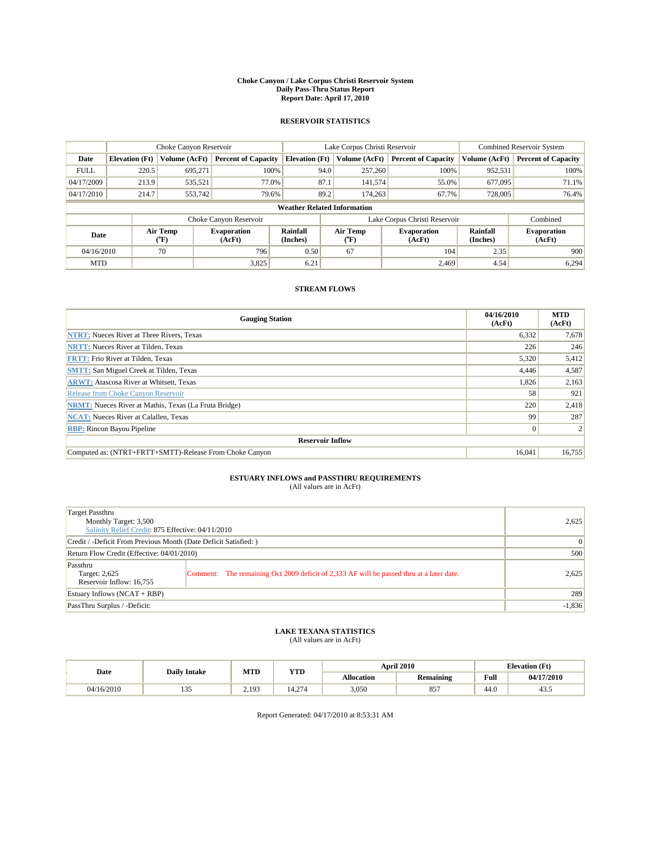#### **Choke Canyon / Lake Corpus Christi Reservoir System Daily Pass-Thru Status Report Report Date: April 17, 2010**

### **RESERVOIR STATISTICS**

|             |                       | Choke Canyon Reservoir |                              |                                    | Lake Corpus Christi Reservoir | <b>Combined Reservoir System</b> |                             |                              |
|-------------|-----------------------|------------------------|------------------------------|------------------------------------|-------------------------------|----------------------------------|-----------------------------|------------------------------|
| Date        | <b>Elevation</b> (Ft) | Volume (AcFt)          | <b>Percent of Capacity</b>   | <b>Elevation</b> (Ft)              | Volume (AcFt)                 | <b>Percent of Capacity</b>       | Volume (AcFt)               | <b>Percent of Capacity</b>   |
| <b>FULL</b> | 220.5                 | 695,271                | 100%                         | 94.0                               | 257,260                       | 100%                             | 952,531                     | 100%                         |
| 04/17/2009  | 213.9                 | 535,521                | 77.0%                        | 87.1                               | 141,574                       | 55.0%                            | 677,095                     | 71.1%                        |
| 04/17/2010  | 214.7                 | 553,742                | 79.6%                        | 89.2                               | 174,263                       | 67.7%                            | 728,005                     | 76.4%                        |
|             |                       |                        |                              | <b>Weather Related Information</b> |                               |                                  |                             |                              |
|             |                       |                        | Choke Canyon Reservoir       |                                    | Lake Corpus Christi Reservoir |                                  |                             | Combined                     |
| Date        |                       | Air Temp<br>(°F)       | <b>Evaporation</b><br>(AcFt) | <b>Rainfall</b><br>(Inches)        | Air Temp<br>(°F)              | <b>Evaporation</b><br>(AcFt)     | <b>Rainfall</b><br>(Inches) | <b>Evaporation</b><br>(AcFt) |
| 04/16/2010  |                       | 70                     | 796                          | 0.50                               | 67                            | 104                              | 2.35                        | 900                          |
| <b>MTD</b>  |                       |                        | 3,825                        | 6.21                               |                               | 2.469                            | 4.54                        | 6,294                        |

### **STREAM FLOWS**

| <b>Gauging Station</b>                                       | 04/16/2010<br>(AcFt) | <b>MTD</b><br>(AcFt) |  |  |  |  |  |
|--------------------------------------------------------------|----------------------|----------------------|--|--|--|--|--|
| <b>NTRT:</b> Nueces River at Three Rivers, Texas             | 6,332                | 7,678                |  |  |  |  |  |
| <b>NRTT:</b> Nueces River at Tilden, Texas                   | 226                  | 246                  |  |  |  |  |  |
| <b>FRTT: Frio River at Tilden, Texas</b>                     | 5,320                | 5,412                |  |  |  |  |  |
| <b>SMTT: San Miguel Creek at Tilden, Texas</b>               | 4,446                | 4,587                |  |  |  |  |  |
| <b>ARWT:</b> Atascosa River at Whitsett, Texas               | 1,826                | 2,163                |  |  |  |  |  |
| Release from Choke Canyon Reservoir                          | 58                   | 921                  |  |  |  |  |  |
| <b>NRMT:</b> Nueces River at Mathis, Texas (La Fruta Bridge) | 220                  | 2,418                |  |  |  |  |  |
| <b>NCAT:</b> Nueces River at Calallen, Texas                 | 99                   | 287                  |  |  |  |  |  |
| <b>RBP:</b> Rincon Bayou Pipeline                            | $\overline{0}$       |                      |  |  |  |  |  |
| <b>Reservoir Inflow</b>                                      |                      |                      |  |  |  |  |  |
| Computed as: (NTRT+FRTT+SMTT)-Release From Choke Canyon      | 16.041               | 16,755               |  |  |  |  |  |

## **ESTUARY INFLOWS and PASSTHRU REQUIREMENTS**

|  | (All values are in AcFt) |
|--|--------------------------|
|--|--------------------------|

| Target Passthru<br>Monthly Target: 3,500<br>Salinity Relief Credit: 875 Effective: 04/11/2010 |                                                                                          |          |  |  |  |
|-----------------------------------------------------------------------------------------------|------------------------------------------------------------------------------------------|----------|--|--|--|
| Credit / -Deficit From Previous Month (Date Deficit Satisfied: )                              |                                                                                          |          |  |  |  |
| Return Flow Credit (Effective: 04/01/2010)                                                    |                                                                                          |          |  |  |  |
| Passthru<br>Target: 2,625<br>Reservoir Inflow: 16,755                                         | Comment: The remaining Oct 2009 deficit of 2,333 AF will be passed thru at a later date. | 2,625    |  |  |  |
| Estuary Inflows (NCAT + RBP)                                                                  |                                                                                          | 289      |  |  |  |
| PassThru Surplus / -Deficit:                                                                  |                                                                                          | $-1,836$ |  |  |  |

## **LAKE TEXANA STATISTICS** (All values are in AcFt)

|            | <b>Daily Intake</b>  | MTD   | <b>YTD</b>             |                   | <b>April 2010</b> | <b>Elevation</b> (Ft)                       |            |
|------------|----------------------|-------|------------------------|-------------------|-------------------|---------------------------------------------|------------|
| Date       |                      |       |                        | <b>Allocation</b> | <b>Remaining</b>  | Full<br>the contract of the contract of the | 04/17/2010 |
| 04/16/2010 | $\sim$ $\sim$<br>ں ر | 2.193 | .274<br>$\overline{4}$ | 3,050             | 857               | 44.0                                        | 43.3       |

Report Generated: 04/17/2010 at 8:53:31 AM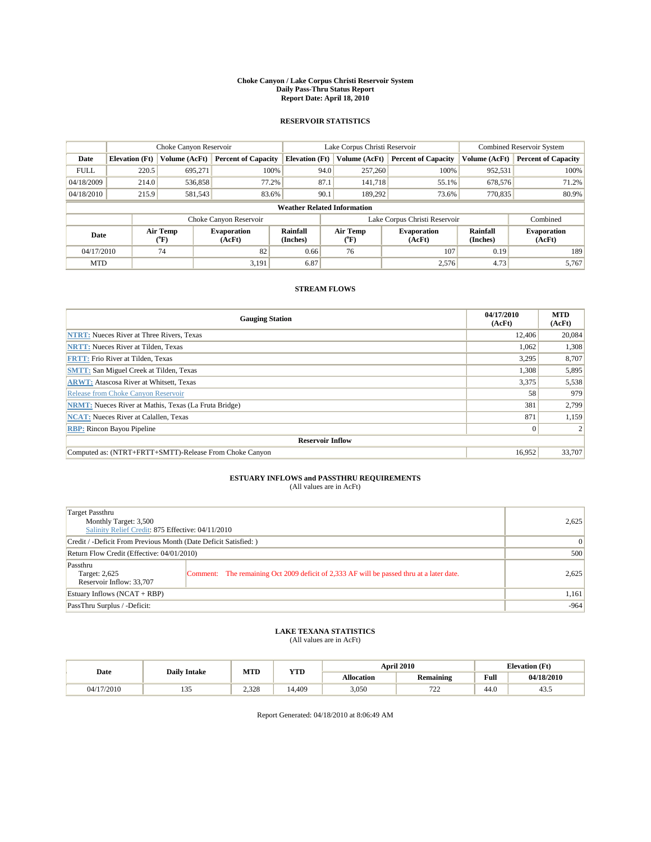#### **Choke Canyon / Lake Corpus Christi Reservoir System Daily Pass-Thru Status Report Report Date: April 18, 2010**

### **RESERVOIR STATISTICS**

|             |                       | Choke Canyon Reservoir   |                              |                                    | Lake Corpus Christi Reservoir | <b>Combined Reservoir System</b> |                      |                              |
|-------------|-----------------------|--------------------------|------------------------------|------------------------------------|-------------------------------|----------------------------------|----------------------|------------------------------|
| Date        | <b>Elevation</b> (Ft) | Volume (AcFt)            | <b>Percent of Capacity</b>   | <b>Elevation (Ft)</b>              | Volume (AcFt)                 | <b>Percent of Capacity</b>       | Volume (AcFt)        | <b>Percent of Capacity</b>   |
| <b>FULL</b> | 220.5                 | 695,271                  | 100%                         | 94.0                               | 257,260                       | 100%                             | 952,531              | 100%                         |
| 04/18/2009  | 214.0                 | 536,858                  | 77.2%                        | 87.1                               | 141.718                       | 55.1%                            | 678,576              | 71.2%                        |
| 04/18/2010  | 215.9                 | 581,543                  | 83.6%                        | 90.1                               | 189.292                       | 73.6%                            | 770,835              | 80.9%                        |
|             |                       |                          |                              | <b>Weather Related Information</b> |                               |                                  |                      |                              |
|             |                       |                          | Choke Canyon Reservoir       |                                    | Lake Corpus Christi Reservoir |                                  |                      | Combined                     |
| Date        |                       | Air Temp<br>$\rm ^{o}F)$ | <b>Evaporation</b><br>(AcFt) | Rainfall<br>(Inches)               | Air Temp<br>("F)              | <b>Evaporation</b><br>(AcFt)     | Rainfall<br>(Inches) | <b>Evaporation</b><br>(AcFt) |
| 04/17/2010  |                       | 74                       | 82                           | 0.66                               | 76                            | 107                              | 0.19                 | 189                          |
| <b>MTD</b>  |                       |                          | 3,191                        | 6.87                               |                               | 2,576                            | 4.73                 | 5,767                        |

### **STREAM FLOWS**

| <b>Gauging Station</b>                                       | 04/17/2010<br>(AcFt) | <b>MTD</b><br>(AcFt) |
|--------------------------------------------------------------|----------------------|----------------------|
| <b>NTRT:</b> Nueces River at Three Rivers, Texas             | 12,406               | 20,084               |
| <b>NRTT:</b> Nueces River at Tilden, Texas                   | 1,062                | 1,308                |
| <b>FRTT: Frio River at Tilden, Texas</b>                     | 3,295                | 8,707                |
| <b>SMTT:</b> San Miguel Creek at Tilden, Texas               | 1,308                | 5,895                |
| <b>ARWT:</b> Atascosa River at Whitsett, Texas               | 3,375                | 5,538                |
| Release from Choke Canyon Reservoir                          | 58                   | 979                  |
| <b>NRMT:</b> Nueces River at Mathis, Texas (La Fruta Bridge) | 381                  | 2,799                |
| <b>NCAT:</b> Nueces River at Calallen, Texas                 | 871                  | 1,159                |
| <b>RBP:</b> Rincon Bayou Pipeline                            | $\Omega$             |                      |
| <b>Reservoir Inflow</b>                                      |                      |                      |
| Computed as: (NTRT+FRTT+SMTT)-Release From Choke Canyon      | 16.952               | 33,707               |

## **ESTUARY INFLOWS and PASSTHRU REQUIREMENTS**<br>(All values are in AcFt)

| Target Passthru<br>Monthly Target: 3,500<br>Salinity Relief Credit: 875 Effective: 04/11/2010 |                                                                                          |        |  |  |  |
|-----------------------------------------------------------------------------------------------|------------------------------------------------------------------------------------------|--------|--|--|--|
| Credit / -Deficit From Previous Month (Date Deficit Satisfied: )                              |                                                                                          |        |  |  |  |
| Return Flow Credit (Effective: 04/01/2010)                                                    |                                                                                          |        |  |  |  |
| Passthru<br>Target: 2,625<br>Reservoir Inflow: 33,707                                         | Comment: The remaining Oct 2009 deficit of 2,333 AF will be passed thru at a later date. | 2,625  |  |  |  |
| Estuary Inflows $(NCAT + RBP)$                                                                |                                                                                          | 1,161  |  |  |  |
| PassThru Surplus / -Deficit:                                                                  |                                                                                          | $-964$ |  |  |  |

## **LAKE TEXANA STATISTICS** (All values are in AcFt)

|            | <b>Daily Intake</b> | MTD   | YTD    |                   | <b>April 2010</b>      | <b>Elevation</b> (Ft) |            |
|------------|---------------------|-------|--------|-------------------|------------------------|-----------------------|------------|
| Date       |                     |       |        | <b>Allocation</b> | <b>Remaining</b>       | Full                  | 04/18/2010 |
| 04/17/2010 | .                   | 2.328 | 14.409 | 3,050             | 70 <sup>o</sup><br>ىمى | 44.0                  | د. د+      |

Report Generated: 04/18/2010 at 8:06:49 AM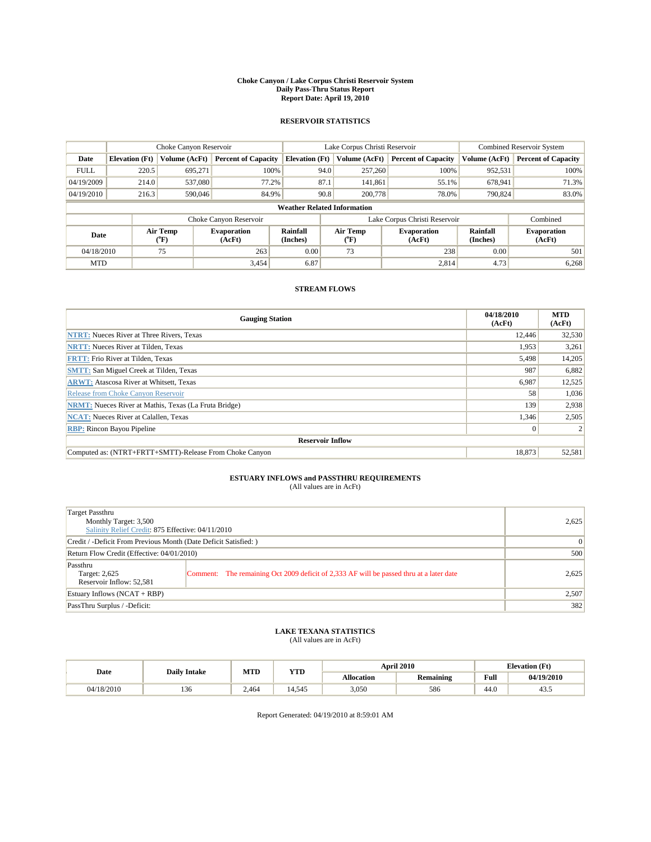#### **Choke Canyon / Lake Corpus Christi Reservoir System Daily Pass-Thru Status Report Report Date: April 19, 2010**

### **RESERVOIR STATISTICS**

|             |                       | Choke Canyon Reservoir      |                              | Lake Corpus Christi Reservoir      |                               |  |                              | <b>Combined Reservoir System</b> |                              |
|-------------|-----------------------|-----------------------------|------------------------------|------------------------------------|-------------------------------|--|------------------------------|----------------------------------|------------------------------|
| Date        | <b>Elevation</b> (Ft) | Volume (AcFt)               | <b>Percent of Capacity</b>   | <b>Elevation</b> (Ft)              | Volume (AcFt)                 |  | <b>Percent of Capacity</b>   | Volume (AcFt)                    | <b>Percent of Capacity</b>   |
| <b>FULL</b> | 220.5                 | 695,271                     | 100%                         |                                    | 257,260<br>94.0               |  | 100%                         | 952,531                          | 100%                         |
| 04/19/2009  | 214.0                 | 537,080                     | 77.2%                        | 87.1                               | 141,861                       |  | 55.1%                        | 678,941                          | 71.3%                        |
| 04/19/2010  | 216.3                 | 590,046                     | 84.9%                        |                                    | 90.8<br>200,778               |  | 78.0%                        | 790,824                          | 83.0%                        |
|             |                       |                             |                              | <b>Weather Related Information</b> |                               |  |                              |                                  |                              |
|             |                       |                             | Choke Canyon Reservoir       |                                    | Lake Corpus Christi Reservoir |  |                              |                                  | Combined                     |
| Date        |                       | Air Temp<br>${}^{\circ}$ F) | <b>Evaporation</b><br>(AcFt) | Rainfall<br>(Inches)               | Air Temp<br>$\rm ^{o}F)$      |  | <b>Evaporation</b><br>(AcFt) | Rainfall<br>(Inches)             | <b>Evaporation</b><br>(AcFt) |
| 04/18/2010  |                       | 75                          | 263                          | 0.00                               | 73                            |  | 238                          | 0.00                             | 501                          |
| <b>MTD</b>  |                       |                             | 3,454                        | 6.87                               |                               |  | 2,814                        | 4.73                             | 6,268                        |

### **STREAM FLOWS**

| <b>Gauging Station</b>                                       | 04/18/2010<br>(AcFt) | <b>MTD</b><br>(AcFt) |  |  |  |  |  |
|--------------------------------------------------------------|----------------------|----------------------|--|--|--|--|--|
| <b>NTRT:</b> Nueces River at Three Rivers, Texas             | 12,446               | 32,530               |  |  |  |  |  |
| <b>NRTT:</b> Nueces River at Tilden, Texas                   | 1,953                | 3,261                |  |  |  |  |  |
| <b>FRTT: Frio River at Tilden, Texas</b>                     | 5,498                | 14,205               |  |  |  |  |  |
| <b>SMTT:</b> San Miguel Creek at Tilden, Texas               | 987                  | 6,882                |  |  |  |  |  |
| <b>ARWT:</b> Atascosa River at Whitsett, Texas               | 6,987                | 12,525               |  |  |  |  |  |
| Release from Choke Canyon Reservoir                          | 58                   | 1,036                |  |  |  |  |  |
| <b>NRMT:</b> Nueces River at Mathis, Texas (La Fruta Bridge) | 139                  | 2,938                |  |  |  |  |  |
| <b>NCAT:</b> Nueces River at Calallen, Texas                 | 1,346                | 2,505                |  |  |  |  |  |
| <b>RBP:</b> Rincon Bayou Pipeline                            | $\overline{0}$       |                      |  |  |  |  |  |
| <b>Reservoir Inflow</b>                                      |                      |                      |  |  |  |  |  |
| Computed as: (NTRT+FRTT+SMTT)-Release From Choke Canyon      | 18.873               | 52,581               |  |  |  |  |  |

## **ESTUARY INFLOWS and PASSTHRU REQUIREMENTS**<br>(All values are in AcFt)

| Target Passthru<br>Monthly Target: 3,500<br>Salinity Relief Credit: 875 Effective: 04/11/2010 |                                                                                         |       |  |  |
|-----------------------------------------------------------------------------------------------|-----------------------------------------------------------------------------------------|-------|--|--|
| Credit / -Deficit From Previous Month (Date Deficit Satisfied:)                               |                                                                                         | 0     |  |  |
| Return Flow Credit (Effective: 04/01/2010)                                                    |                                                                                         |       |  |  |
| Passthru<br>Target: 2,625<br>Reservoir Inflow: 52,581                                         | Comment: The remaining Oct 2009 deficit of 2,333 AF will be passed thru at a later date | 2,625 |  |  |
| Estuary Inflows $(NCAT + RBP)$                                                                | 2,507                                                                                   |       |  |  |
| PassThru Surplus / -Deficit:                                                                  |                                                                                         | 382   |  |  |

## **LAKE TEXANA STATISTICS** (All values are in AcFt)

| <b>Daily Intake</b> |            | MTD   | <b>YTD</b> | <b>April 2010</b> |                  | <b>Elevation</b> (Ft) |            |
|---------------------|------------|-------|------------|-------------------|------------------|-----------------------|------------|
| Date                |            |       |            | <b>Allocation</b> | <b>Remaining</b> | Full                  | 04/19/2010 |
| 04/18/2010          | 10<<br>136 | 2.464 | 14.545     | 3,050             | 586              | 44.0                  | 43.5       |

Report Generated: 04/19/2010 at 8:59:01 AM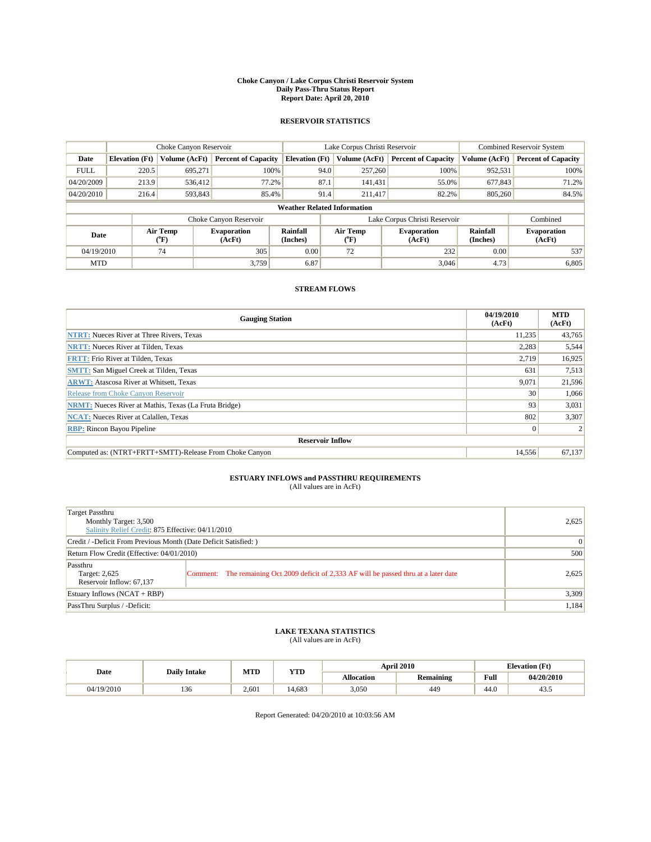#### **Choke Canyon / Lake Corpus Christi Reservoir System Daily Pass-Thru Status Report Report Date: April 20, 2010**

### **RESERVOIR STATISTICS**

|             |                       | Choke Canyon Reservoir      |                              |                       | Lake Corpus Christi Reservoir      |                              | <b>Combined Reservoir System</b> |                              |
|-------------|-----------------------|-----------------------------|------------------------------|-----------------------|------------------------------------|------------------------------|----------------------------------|------------------------------|
| Date        | <b>Elevation</b> (Ft) | Volume (AcFt)               | <b>Percent of Capacity</b>   | <b>Elevation (Ft)</b> | Volume (AcFt)                      | <b>Percent of Capacity</b>   | Volume (AcFt)                    | <b>Percent of Capacity</b>   |
| <b>FULL</b> | 220.5                 | 695,271                     | 100%                         |                       | 257,260<br>94.0                    | 100%                         | 952,531                          | 100%                         |
| 04/20/2009  | 213.9                 | 536.412                     | 77.2%                        |                       | 87.1<br>141.431                    | 55.0%                        | 677,843                          | 71.2%                        |
| 04/20/2010  | 216.4                 | 593,843                     | 85.4%                        |                       | 91.4<br>211.417                    | 82.2%                        | 805,260                          | 84.5%                        |
|             |                       |                             |                              |                       | <b>Weather Related Information</b> |                              |                                  |                              |
|             |                       |                             | Choke Canyon Reservoir       |                       | Lake Corpus Christi Reservoir      |                              |                                  | Combined                     |
| Date        |                       | Air Temp<br>${}^{\circ}$ F) | <b>Evaporation</b><br>(AcFt) | Rainfall<br>(Inches)  | Air Temp<br>("F)                   | <b>Evaporation</b><br>(AcFt) | Rainfall<br>(Inches)             | <b>Evaporation</b><br>(AcFt) |
| 04/19/2010  |                       | 74                          | 305                          | 0.00                  | 72                                 | 232                          | 0.00                             | 537                          |
| <b>MTD</b>  |                       |                             | 3.759                        | 6.87                  |                                    | 3,046                        | 4.73                             | 6,805                        |

### **STREAM FLOWS**

| <b>Gauging Station</b>                                       | 04/19/2010<br>(AcFt) | <b>MTD</b><br>(AcFt) |
|--------------------------------------------------------------|----------------------|----------------------|
| <b>NTRT:</b> Nueces River at Three Rivers, Texas             | 11.235               | 43,765               |
| <b>NRTT:</b> Nueces River at Tilden, Texas                   | 2,283                | 5,544                |
| <b>FRTT: Frio River at Tilden, Texas</b>                     | 2,719                | 16,925               |
| <b>SMTT: San Miguel Creek at Tilden, Texas</b>               | 631                  | 7,513                |
| <b>ARWT:</b> Atascosa River at Whitsett, Texas               | 9,071                | 21,596               |
| Release from Choke Canyon Reservoir                          | 30 <sup>1</sup>      | 1,066                |
| <b>NRMT:</b> Nueces River at Mathis, Texas (La Fruta Bridge) | 93                   | 3,031                |
| <b>NCAT:</b> Nueces River at Calallen, Texas                 | 802                  | 3,307                |
| <b>RBP:</b> Rincon Bayou Pipeline                            | $\overline{0}$       |                      |
| <b>Reservoir Inflow</b>                                      |                      |                      |
| Computed as: (NTRT+FRTT+SMTT)-Release From Choke Canyon      | 14.556               | 67,137               |

## **ESTUARY INFLOWS and PASSTHRU REQUIREMENTS**<br>(All values are in AcFt)

| Target Passthru<br>Monthly Target: 3,500<br>Salinity Relief Credit: 875 Effective: 04/11/2010 |                                                                                         |                 |  |  |  |
|-----------------------------------------------------------------------------------------------|-----------------------------------------------------------------------------------------|-----------------|--|--|--|
| Credit / -Deficit From Previous Month (Date Deficit Satisfied: )                              |                                                                                         | $\vert 0 \vert$ |  |  |  |
| Return Flow Credit (Effective: 04/01/2010)                                                    |                                                                                         |                 |  |  |  |
| Passthru<br>Target: 2,625<br>Reservoir Inflow: 67,137                                         | Comment: The remaining Oct 2009 deficit of 2,333 AF will be passed thru at a later date | 2,625           |  |  |  |
| Estuary Inflows $(NCAT + RBP)$                                                                | 3,309                                                                                   |                 |  |  |  |
| PassThru Surplus / -Deficit:                                                                  |                                                                                         | 1,184           |  |  |  |

## **LAKE TEXANA STATISTICS** (All values are in AcFt)

| <b>Daily Intake</b> |     | MTD   | <b>YTD</b> |                   | <b>April 2010</b> | <b>Elevation</b> (Ft)                       |            |
|---------------------|-----|-------|------------|-------------------|-------------------|---------------------------------------------|------------|
| Date                |     |       |            | <b>Allocation</b> | <b>Remaining</b>  | Full<br>the contract of the contract of the | 04/20/2010 |
| 04/19/2010          | 136 | 2.601 | 14.683     | 3,050             | 449               | 44.0                                        | 45.3       |

Report Generated: 04/20/2010 at 10:03:56 AM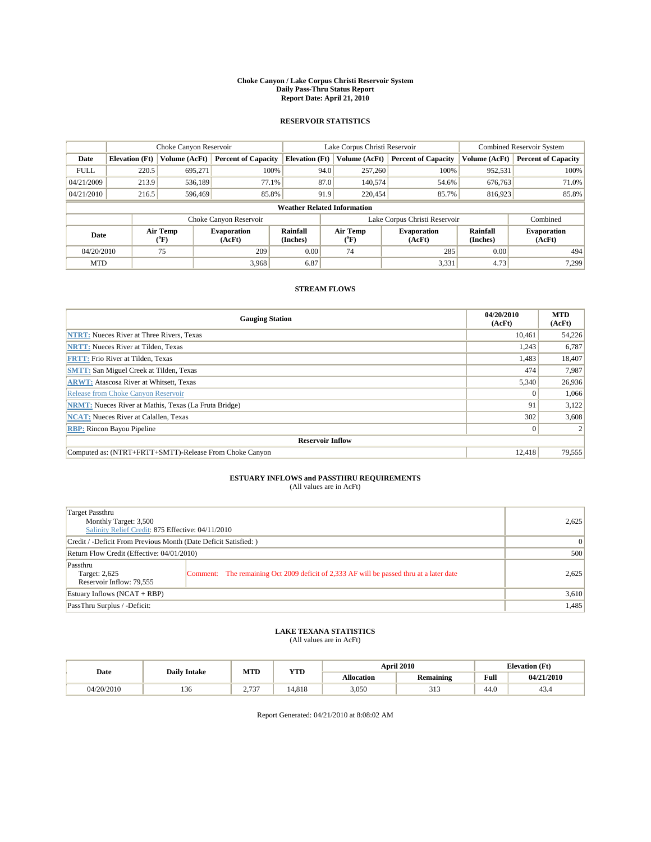#### **Choke Canyon / Lake Corpus Christi Reservoir System Daily Pass-Thru Status Report Report Date: April 21, 2010**

### **RESERVOIR STATISTICS**

|             |                       | Choke Canyon Reservoir |                              |                                    | Lake Corpus Christi Reservoir | <b>Combined Reservoir System</b> |                      |                              |
|-------------|-----------------------|------------------------|------------------------------|------------------------------------|-------------------------------|----------------------------------|----------------------|------------------------------|
| Date        | <b>Elevation</b> (Ft) | Volume (AcFt)          | <b>Percent of Capacity</b>   | <b>Elevation</b> (Ft)              | Volume (AcFt)                 | <b>Percent of Capacity</b>       | Volume (AcFt)        | <b>Percent of Capacity</b>   |
| <b>FULL</b> | 220.5                 | 695,271                | 100%                         | 94.0                               | 257,260                       | 100%                             | 952,531              | 100%                         |
| 04/21/2009  | 213.9                 | 536,189                | 77.1%                        |                                    | 87.0<br>140,574               | 54.6%                            | 676,763              | 71.0%                        |
| 04/21/2010  | 216.5                 | 596,469                | 85.8%                        | 91.9                               | 220,454                       | 85.7%                            | 816,923              | 85.8%                        |
|             |                       |                        |                              | <b>Weather Related Information</b> |                               |                                  |                      |                              |
|             |                       |                        | Choke Canyon Reservoir       |                                    | Lake Corpus Christi Reservoir |                                  |                      | Combined                     |
| Date        |                       | Air Temp<br>(°F)       | <b>Evaporation</b><br>(AcFt) | Rainfall<br>(Inches)               | Air Temp<br>("F)              | <b>Evaporation</b><br>(AcFt)     | Rainfall<br>(Inches) | <b>Evaporation</b><br>(AcFt) |
| 04/20/2010  |                       | 75                     | 209                          | 0.00                               | 74                            | 285                              | 0.00                 | 494                          |
| <b>MTD</b>  |                       |                        | 3.968                        | 6.87                               |                               | 3,331                            | 4.73                 | 7.299                        |

### **STREAM FLOWS**

| <b>Gauging Station</b>                                       | 04/20/2010<br>(AcFt) | <b>MTD</b><br>(AcFt) |
|--------------------------------------------------------------|----------------------|----------------------|
| <b>NTRT:</b> Nueces River at Three Rivers, Texas             | 10.461               | 54,226               |
| <b>NRTT:</b> Nueces River at Tilden, Texas                   | 1,243                | 6,787                |
| <b>FRTT: Frio River at Tilden, Texas</b>                     | 1,483                | 18,407               |
| <b>SMTT: San Miguel Creek at Tilden, Texas</b>               | 474                  | 7,987                |
| <b>ARWT:</b> Atascosa River at Whitsett, Texas               | 5,340                | 26,936               |
| Release from Choke Canvon Reservoir                          | $\theta$             | 1,066                |
| <b>NRMT:</b> Nueces River at Mathis, Texas (La Fruta Bridge) | 91                   | 3,122                |
| <b>NCAT:</b> Nueces River at Calallen, Texas                 | 302                  | 3,608                |
| <b>RBP:</b> Rincon Bayou Pipeline                            | $\vert 0 \vert$      |                      |
| <b>Reservoir Inflow</b>                                      |                      |                      |
| Computed as: (NTRT+FRTT+SMTT)-Release From Choke Canyon      | 12.418               | 79,555               |

## **ESTUARY INFLOWS and PASSTHRU REQUIREMENTS**

| (All values are in AcFt) |  |
|--------------------------|--|
|--------------------------|--|

| Target Passthru<br>Monthly Target: 3,500<br>Salinity Relief Credit: 875 Effective: 04/11/2010 | 2.625                                                                                   |       |
|-----------------------------------------------------------------------------------------------|-----------------------------------------------------------------------------------------|-------|
| Credit / -Deficit From Previous Month (Date Deficit Satisfied: )                              |                                                                                         | 0     |
| Return Flow Credit (Effective: 04/01/2010)                                                    | 500                                                                                     |       |
| Passthru<br>Target: 2,625<br>Reservoir Inflow: 79,555                                         | Comment: The remaining Oct 2009 deficit of 2,333 AF will be passed thru at a later date | 2,625 |
| Estuary Inflows (NCAT + RBP)                                                                  | 3,610                                                                                   |       |
| PassThru Surplus / -Deficit:                                                                  |                                                                                         | 1,485 |

# **LAKE TEXANA STATISTICS** (All values are in AcFt)

| <b>Daily Intake</b> |     | MTD                  | <b>YTD</b> | <b>April 2010</b> |                               | <b>Elevation</b> (Ft) |            |
|---------------------|-----|----------------------|------------|-------------------|-------------------------------|-----------------------|------------|
| Date                |     |                      |            | <b>Allocation</b> | <b>Remaining</b>              | Full                  | 04/21/2010 |
| 04/20/2010          | 136 | 5.727<br>. ب ، ، ، ، | 14.818     | 3,050             | 21 <sup>o</sup><br><b>JIJ</b> | 44.0                  | 43.4       |

Report Generated: 04/21/2010 at 8:08:02 AM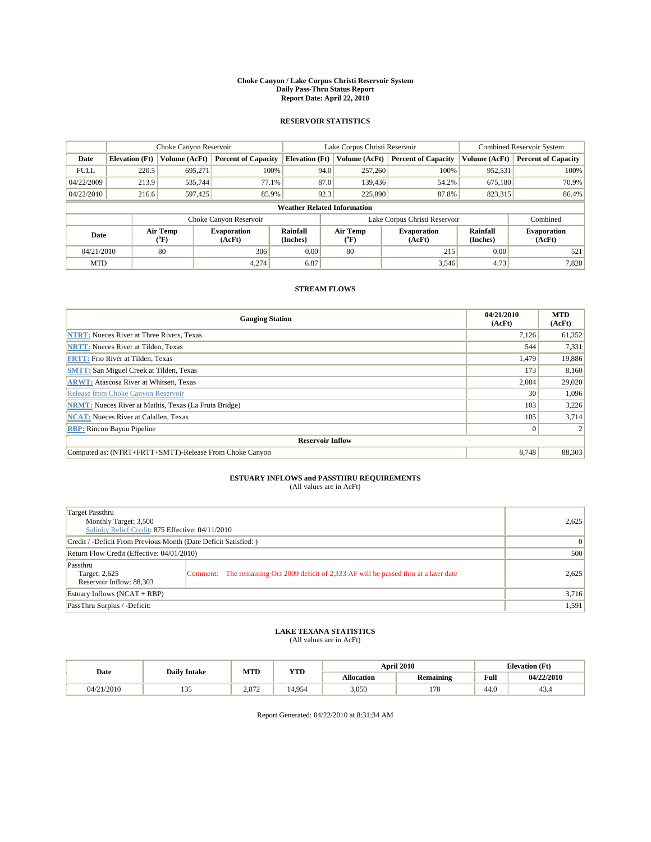#### **Choke Canyon / Lake Corpus Christi Reservoir System Daily Pass-Thru Status Report Report Date: April 22, 2010**

### **RESERVOIR STATISTICS**

|             | Choke Canyon Reservoir |                  |                              |                                    | Lake Corpus Christi Reservoir | Combined Reservoir System    |                             |                              |
|-------------|------------------------|------------------|------------------------------|------------------------------------|-------------------------------|------------------------------|-----------------------------|------------------------------|
| Date        | <b>Elevation</b> (Ft)  | Volume (AcFt)    | <b>Percent of Capacity</b>   | <b>Elevation</b> (Ft)              | Volume (AcFt)                 | <b>Percent of Capacity</b>   | Volume (AcFt)               | <b>Percent of Capacity</b>   |
| <b>FULL</b> | 220.5                  | 695,271          | 100%                         | 94.0                               | 257,260                       | 100%                         | 952,531                     | 100%                         |
| 04/22/2009  | 213.9                  | 535,744          | 77.1%                        | 87.0                               | 139,436                       | 54.2%                        | 675,180                     | 70.9%                        |
| 04/22/2010  | 216.6                  | 597,425          | 85.9%                        | 92.3                               | 225,890                       | 87.8%                        | 823,315                     | 86.4%                        |
|             |                        |                  |                              | <b>Weather Related Information</b> |                               |                              |                             |                              |
|             |                        |                  | Choke Canyon Reservoir       |                                    | Lake Corpus Christi Reservoir |                              |                             | Combined                     |
| Date        |                        | Air Temp<br>(°F) | <b>Evaporation</b><br>(AcFt) | <b>Rainfall</b><br>(Inches)        | Air Temp<br>(°F)              | <b>Evaporation</b><br>(AcFt) | <b>Rainfall</b><br>(Inches) | <b>Evaporation</b><br>(AcFt) |
| 04/21/2010  |                        | 80               | 306                          | 0.00                               | 80                            | 215                          | 0.00                        | 521                          |
| <b>MTD</b>  |                        |                  | 4.274                        | 6.87                               |                               | 3,546                        | 4.73                        | 7,820                        |

### **STREAM FLOWS**

| <b>Gauging Station</b>                                       | 04/21/2010<br>(AcFt) | <b>MTD</b><br>(AcFt) |  |  |  |  |  |
|--------------------------------------------------------------|----------------------|----------------------|--|--|--|--|--|
| <b>NTRT:</b> Nueces River at Three Rivers, Texas             | 7,126                | 61,352               |  |  |  |  |  |
| <b>NRTT:</b> Nueces River at Tilden, Texas                   | 544                  | 7,331                |  |  |  |  |  |
| <b>FRTT: Frio River at Tilden, Texas</b>                     | 1,479                | 19,886               |  |  |  |  |  |
| <b>SMTT: San Miguel Creek at Tilden, Texas</b>               | 173                  | 8,160                |  |  |  |  |  |
| <b>ARWT:</b> Atascosa River at Whitsett, Texas               | 2,084                | 29,020               |  |  |  |  |  |
| Release from Choke Canvon Reservoir                          | 30                   | 1,096                |  |  |  |  |  |
| <b>NRMT:</b> Nueces River at Mathis, Texas (La Fruta Bridge) | 103                  | 3,226                |  |  |  |  |  |
| <b>NCAT:</b> Nueces River at Calallen, Texas                 | 105                  | 3,714                |  |  |  |  |  |
| <b>RBP:</b> Rincon Bayou Pipeline                            | $\overline{0}$       |                      |  |  |  |  |  |
| <b>Reservoir Inflow</b>                                      |                      |                      |  |  |  |  |  |
| Computed as: (NTRT+FRTT+SMTT)-Release From Choke Canyon      | 8.748                | 88,303               |  |  |  |  |  |

# **ESTUARY INFLOWS and PASSTHRU REQUIREMENTS**<br>(All values are in AcFt)

| Target Passthru<br>Monthly Target: 3,500<br>Salinity Relief Credit: 875 Effective: 04/11/2010 | 2,625                                                                                   |       |
|-----------------------------------------------------------------------------------------------|-----------------------------------------------------------------------------------------|-------|
| Credit / -Deficit From Previous Month (Date Deficit Satisfied: )                              | $\vert 0 \vert$                                                                         |       |
| Return Flow Credit (Effective: 04/01/2010)                                                    | 500                                                                                     |       |
| Passthru<br>Target: 2,625<br>Reservoir Inflow: 88,303                                         | Comment: The remaining Oct 2009 deficit of 2,333 AF will be passed thru at a later date | 2,625 |
| Estuary Inflows $(NCAT + RBP)$                                                                |                                                                                         | 3,716 |
| PassThru Surplus / -Deficit:                                                                  |                                                                                         | 1,591 |

## **LAKE TEXANA STATISTICS** (All values are in AcFt)

|            | <b>Daily Intake</b> | MTD   | <b>YTD</b> |                   | <b>April 2010</b> | <b>Elevation</b> (Ft)                       |            |
|------------|---------------------|-------|------------|-------------------|-------------------|---------------------------------------------|------------|
| Date       |                     |       |            | <b>Allocation</b> | <b>Remaining</b>  | Full<br>the contract of the contract of the | 04/22/2010 |
| 04/21/2010 | .                   | 2.872 | 14.954     | 3,050             | 178               | 44.0                                        | 43.4       |

Report Generated: 04/22/2010 at 8:31:34 AM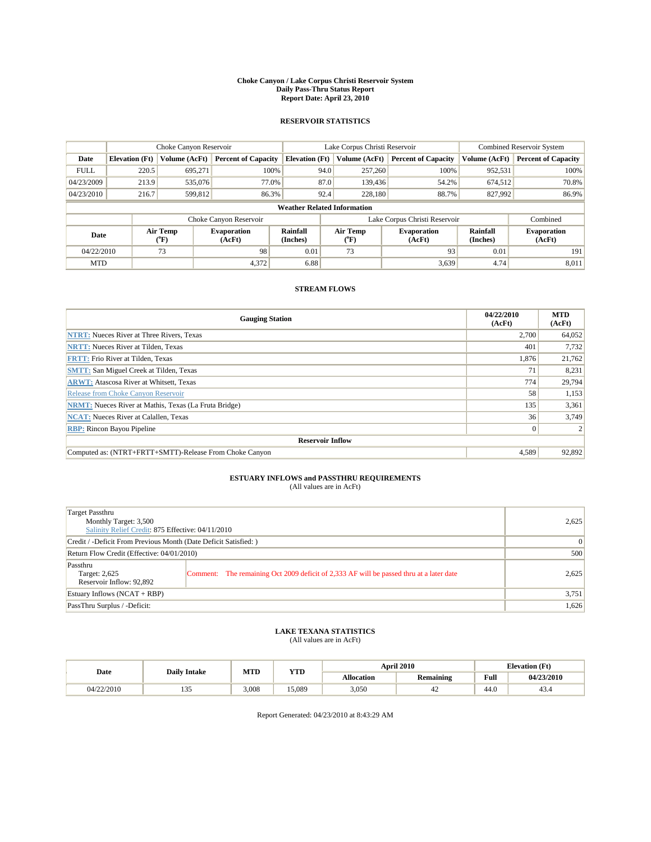#### **Choke Canyon / Lake Corpus Christi Reservoir System Daily Pass-Thru Status Report Report Date: April 23, 2010**

### **RESERVOIR STATISTICS**

|             | Choke Canyon Reservoir             |                  |                              |                       | Lake Corpus Christi Reservoir |                               |                      | <b>Combined Reservoir System</b> |  |  |
|-------------|------------------------------------|------------------|------------------------------|-----------------------|-------------------------------|-------------------------------|----------------------|----------------------------------|--|--|
| Date        | <b>Elevation</b> (Ft)              | Volume (AcFt)    | <b>Percent of Capacity</b>   | <b>Elevation</b> (Ft) | Volume (AcFt)                 | <b>Percent of Capacity</b>    | Volume (AcFt)        | <b>Percent of Capacity</b>       |  |  |
| <b>FULL</b> | 220.5                              | 695,271          | 100%                         | 94.0                  | 257,260                       | 100%                          | 952,531              | 100%                             |  |  |
| 04/23/2009  | 213.9                              | 535,076          | 77.0%                        | 87.0                  | 139,436                       | 54.2%                         | 674,512              | 70.8%                            |  |  |
| 04/23/2010  | 216.7                              | 599,812          | 86.3%                        | 92.4                  | 228,180                       | 88.7%                         | 827,992              | 86.9%                            |  |  |
|             | <b>Weather Related Information</b> |                  |                              |                       |                               |                               |                      |                                  |  |  |
|             |                                    |                  | Choke Canyon Reservoir       |                       |                               | Lake Corpus Christi Reservoir |                      | Combined                         |  |  |
| Date        |                                    | Air Temp<br>(°F) | <b>Evaporation</b><br>(AcFt) | Rainfall<br>(Inches)  | Air Temp<br>("F)              | <b>Evaporation</b><br>(AcFt)  | Rainfall<br>(Inches) | <b>Evaporation</b><br>(AcFt)     |  |  |
| 04/22/2010  |                                    | 73               | 98                           | 0.01                  | 73                            | 93                            | 0.01                 | 191                              |  |  |
| <b>MTD</b>  |                                    |                  | 4,372                        | 6.88                  |                               | 3,639                         | 4.74                 | 8,011                            |  |  |

### **STREAM FLOWS**

| <b>Gauging Station</b>                                       | 04/22/2010<br>(AcFt) | <b>MTD</b><br>(AcFt) |  |  |  |  |  |
|--------------------------------------------------------------|----------------------|----------------------|--|--|--|--|--|
| <b>NTRT:</b> Nueces River at Three Rivers, Texas             | 2.700                | 64,052               |  |  |  |  |  |
| <b>NRTT:</b> Nueces River at Tilden, Texas                   | 401                  | 7,732                |  |  |  |  |  |
| <b>FRTT: Frio River at Tilden, Texas</b>                     | 1,876                | 21,762               |  |  |  |  |  |
| <b>SMTT: San Miguel Creek at Tilden, Texas</b>               | 71                   | 8,231                |  |  |  |  |  |
| <b>ARWT:</b> Atascosa River at Whitsett, Texas               | 774                  | 29,794               |  |  |  |  |  |
| Release from Choke Canyon Reservoir                          | 58                   | 1,153                |  |  |  |  |  |
| <b>NRMT:</b> Nueces River at Mathis, Texas (La Fruta Bridge) | 135                  | 3,361                |  |  |  |  |  |
| <b>NCAT:</b> Nueces River at Calallen, Texas                 | 36                   | 3,749                |  |  |  |  |  |
| <b>RBP:</b> Rincon Bayou Pipeline                            | $\overline{0}$       |                      |  |  |  |  |  |
| <b>Reservoir Inflow</b>                                      |                      |                      |  |  |  |  |  |
| Computed as: (NTRT+FRTT+SMTT)-Release From Choke Canyon      | 4,589                | 92,892               |  |  |  |  |  |

# **ESTUARY INFLOWS and PASSTHRU REQUIREMENTS**<br>(All values are in AcFt)

| Target Passthru<br>Monthly Target: 3,500<br>Salinity Relief Credit: 875 Effective: 04/11/2010 | 2,625                                                                                   |       |
|-----------------------------------------------------------------------------------------------|-----------------------------------------------------------------------------------------|-------|
| Credit / -Deficit From Previous Month (Date Deficit Satisfied: )                              | $\Omega$                                                                                |       |
| Return Flow Credit (Effective: 04/01/2010)                                                    |                                                                                         | 500   |
| Passthru<br>Target: 2,625<br>Reservoir Inflow: 92,892                                         | Comment: The remaining Oct 2009 deficit of 2,333 AF will be passed thru at a later date | 2,625 |
| Estuary Inflows $(NCAT + RBP)$                                                                |                                                                                         | 3,751 |
| PassThru Surplus / -Deficit:                                                                  |                                                                                         | 1,626 |

# **LAKE TEXANA STATISTICS** (All values are in AcFt)

|            | <b>Daily Intake</b> | MTD   | <b>YTD</b> |                   | <b>April 2010</b> | <b>Elevation</b> (Ft)                       |            |
|------------|---------------------|-------|------------|-------------------|-------------------|---------------------------------------------|------------|
| Date       |                     |       |            | <b>Allocation</b> | <b>Remaining</b>  | Full<br>the contract of the contract of the | 04/23/2010 |
| 04/22/2010 | $\sim$ $\sim$<br>.  | 3.008 | 15.089     | 3,050             | 42                | 44.0                                        | 43.4       |

Report Generated: 04/23/2010 at 8:43:29 AM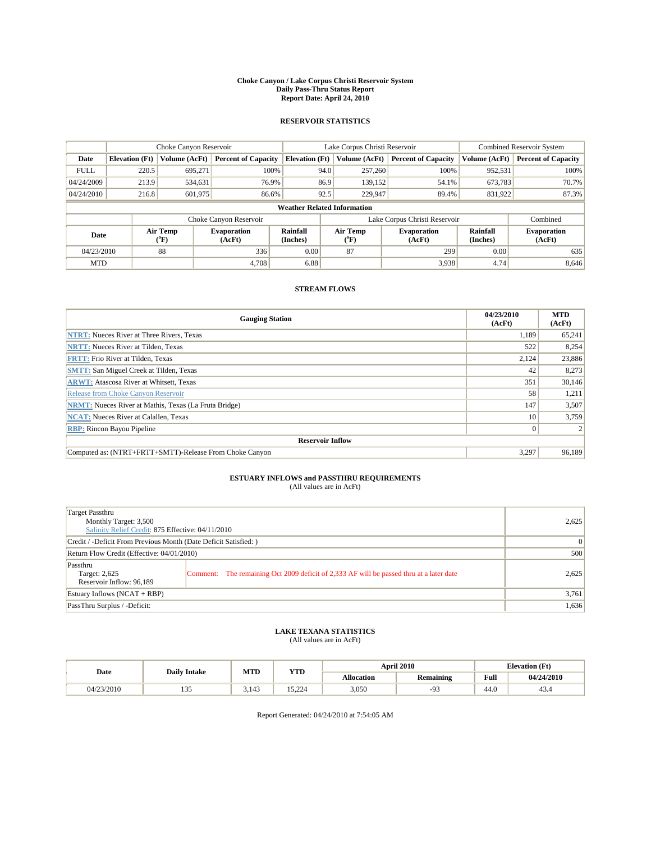#### **Choke Canyon / Lake Corpus Christi Reservoir System Daily Pass-Thru Status Report Report Date: April 24, 2010**

### **RESERVOIR STATISTICS**

|             | Choke Canyon Reservoir             |                                |                              |                       | Lake Corpus Christi Reservoir |                               |                      | <b>Combined Reservoir System</b> |  |  |
|-------------|------------------------------------|--------------------------------|------------------------------|-----------------------|-------------------------------|-------------------------------|----------------------|----------------------------------|--|--|
| Date        | <b>Elevation</b> (Ft)              | Volume (AcFt)                  | <b>Percent of Capacity</b>   | <b>Elevation</b> (Ft) | Volume (AcFt)                 | <b>Percent of Capacity</b>    | Volume (AcFt)        | <b>Percent of Capacity</b>       |  |  |
| <b>FULL</b> | 220.5                              | 695.271                        | 100%                         | 94.0                  | 257,260                       | 100%                          | 952,531              | 100%                             |  |  |
| 04/24/2009  | 213.9                              | 534,631                        | 76.9%                        | 86.9                  | 139,152                       | 54.1%                         | 673,783              | 70.7%                            |  |  |
| 04/24/2010  | 216.8                              | 601,975                        | 86.6%                        | 92.5                  | 229,947                       | 89.4%                         | 831,922              | 87.3%                            |  |  |
|             | <b>Weather Related Information</b> |                                |                              |                       |                               |                               |                      |                                  |  |  |
|             |                                    |                                | Choke Canyon Reservoir       |                       |                               | Lake Corpus Christi Reservoir |                      | Combined                         |  |  |
| Date        |                                    | Air Temp<br>$({}^o\mathrm{F})$ | <b>Evaporation</b><br>(AcFt) | Rainfall<br>(Inches)  | Air Temp<br>(°F)              | <b>Evaporation</b><br>(AcFt)  | Rainfall<br>(Inches) | <b>Evaporation</b><br>(AcFt)     |  |  |
| 04/23/2010  |                                    | 88                             | 336                          | 0.00                  | 87                            | 299                           | 0.00                 | 635                              |  |  |
| <b>MTD</b>  |                                    |                                | 4.708                        | 6.88                  |                               | 3,938                         | 4.74                 | 8,646                            |  |  |

### **STREAM FLOWS**

| <b>Gauging Station</b>                                       | 04/23/2010<br>(AcFt) | <b>MTD</b><br>(AcFt) |  |  |  |  |  |
|--------------------------------------------------------------|----------------------|----------------------|--|--|--|--|--|
| <b>NTRT:</b> Nueces River at Three Rivers, Texas             | 1.189                | 65,241               |  |  |  |  |  |
| <b>NRTT:</b> Nueces River at Tilden, Texas                   | 522                  | 8,254                |  |  |  |  |  |
| <b>FRTT: Frio River at Tilden, Texas</b>                     | 2,124                | 23,886               |  |  |  |  |  |
| <b>SMTT: San Miguel Creek at Tilden, Texas</b>               | 42                   | 8,273                |  |  |  |  |  |
| <b>ARWT:</b> Atascosa River at Whitsett, Texas               | 351                  | 30,146               |  |  |  |  |  |
| Release from Choke Canyon Reservoir                          | 58                   | 1,211                |  |  |  |  |  |
| <b>NRMT:</b> Nueces River at Mathis, Texas (La Fruta Bridge) | 147                  | 3,507                |  |  |  |  |  |
| <b>NCAT:</b> Nueces River at Calallen, Texas                 | 10 <sup>1</sup>      | 3,759                |  |  |  |  |  |
| <b>RBP:</b> Rincon Bayou Pipeline                            | $\overline{0}$       |                      |  |  |  |  |  |
| <b>Reservoir Inflow</b>                                      |                      |                      |  |  |  |  |  |
| Computed as: (NTRT+FRTT+SMTT)-Release From Choke Canyon      | 3.297                | 96,189               |  |  |  |  |  |

## **ESTUARY INFLOWS and PASSTHRU REQUIREMENTS**

| (All values are in AcFt) |  |
|--------------------------|--|
|--------------------------|--|

| Target Passthru<br>Monthly Target: 3,500<br>Salinity Relief Credit: 875 Effective: 04/11/2010 | 2.625                                                                                   |       |
|-----------------------------------------------------------------------------------------------|-----------------------------------------------------------------------------------------|-------|
| Credit / -Deficit From Previous Month (Date Deficit Satisfied: )                              | 0                                                                                       |       |
| Return Flow Credit (Effective: 04/01/2010)                                                    | 500                                                                                     |       |
| Passthru<br>Target: 2,625<br>Reservoir Inflow: 96,189                                         | Comment: The remaining Oct 2009 deficit of 2,333 AF will be passed thru at a later date | 2,625 |
| Estuary Inflows (NCAT + RBP)                                                                  |                                                                                         | 3,761 |
| PassThru Surplus / -Deficit:                                                                  |                                                                                         | 1,636 |

# **LAKE TEXANA STATISTICS** (All values are in AcFt)

| Date<br><b>Daily Intake</b> |            | MTD   | <b>YTD</b> |                   | <b>April 2010</b> | <b>Elevation</b> (Ft) |            |
|-----------------------------|------------|-------|------------|-------------------|-------------------|-----------------------|------------|
|                             |            |       |            | <b>Allocation</b> | <b>Remaining</b>  | Full                  | 04/24/2010 |
| 04/23/2010                  | <b>LJJ</b> | 3.143 | 15.224     | 3,050             | $\Omega$<br>-9    | 44.0                  | 43.4       |

Report Generated: 04/24/2010 at 7:54:05 AM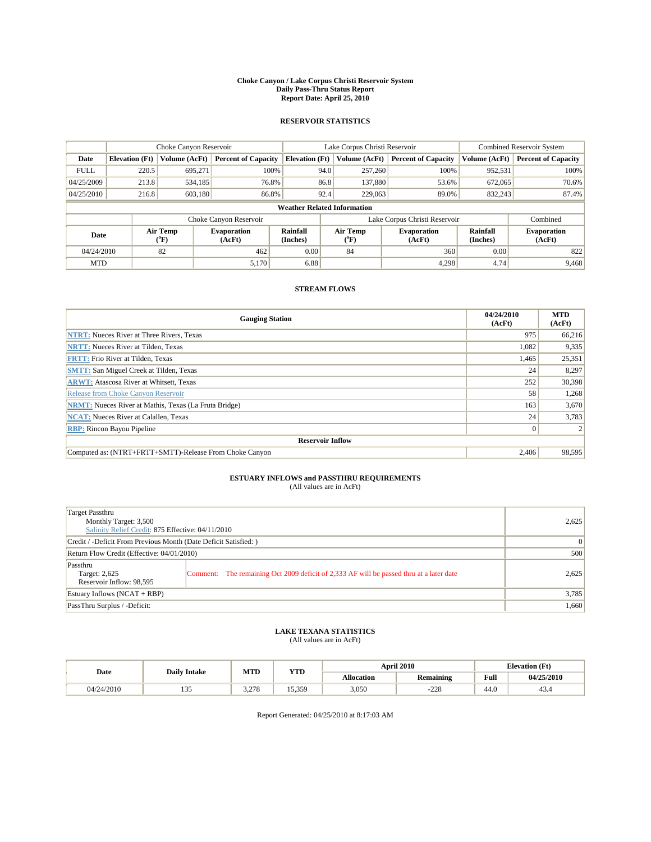#### **Choke Canyon / Lake Corpus Christi Reservoir System Daily Pass-Thru Status Report Report Date: April 25, 2010**

### **RESERVOIR STATISTICS**

|             | Choke Canyon Reservoir             |                             |                              |                       | Lake Corpus Christi Reservoir |                               |                      | <b>Combined Reservoir System</b> |  |
|-------------|------------------------------------|-----------------------------|------------------------------|-----------------------|-------------------------------|-------------------------------|----------------------|----------------------------------|--|
| Date        | <b>Elevation</b> (Ft)              | Volume (AcFt)               | <b>Percent of Capacity</b>   | <b>Elevation (Ft)</b> | Volume (AcFt)                 | <b>Percent of Capacity</b>    | Volume (AcFt)        | <b>Percent of Capacity</b>       |  |
| <b>FULL</b> | 220.5                              | 695,271                     | 100%                         |                       | 257,260<br>94.0               | 100%                          | 952,531              | 100%                             |  |
| 04/25/2009  | 213.8                              | 534,185                     | 76.8%                        |                       | 86.8<br>137,880               | 53.6%                         | 672,065              | 70.6%                            |  |
| 04/25/2010  | 216.8                              | 603,180                     | 86.8%                        |                       | 92.4<br>229,063               | 89.0%                         | 832,243              | 87.4%                            |  |
|             | <b>Weather Related Information</b> |                             |                              |                       |                               |                               |                      |                                  |  |
|             |                                    |                             | Choke Canyon Reservoir       |                       |                               | Lake Corpus Christi Reservoir |                      | Combined                         |  |
| Date        |                                    | Air Temp<br>${}^{\circ}$ F) | <b>Evaporation</b><br>(AcFt) | Rainfall<br>(Inches)  | Air Temp<br>("F)              | <b>Evaporation</b><br>(AcFt)  | Rainfall<br>(Inches) | <b>Evaporation</b><br>(AcFt)     |  |
| 04/24/2010  |                                    | 82                          | 462                          | 0.00                  | 84                            | 360                           | 0.00                 | 822                              |  |
| <b>MTD</b>  |                                    |                             | 5,170                        | 6.88                  |                               | 4,298                         | 4.74                 | 9,468                            |  |

### **STREAM FLOWS**

| <b>Gauging Station</b>                                       | 04/24/2010<br>(AcFt) | <b>MTD</b><br>(AcFt) |  |  |  |  |  |
|--------------------------------------------------------------|----------------------|----------------------|--|--|--|--|--|
| <b>NTRT:</b> Nueces River at Three Rivers, Texas             | 975                  | 66,216               |  |  |  |  |  |
| <b>NRTT:</b> Nueces River at Tilden, Texas                   | 1,082                | 9,335                |  |  |  |  |  |
| <b>FRTT: Frio River at Tilden, Texas</b>                     | 1,465                | 25,351               |  |  |  |  |  |
| <b>SMTT: San Miguel Creek at Tilden, Texas</b>               | 24                   | 8,297                |  |  |  |  |  |
| <b>ARWT:</b> Atascosa River at Whitsett, Texas               | 252                  | 30,398               |  |  |  |  |  |
| Release from Choke Canyon Reservoir                          | 58                   | 1,268                |  |  |  |  |  |
| <b>NRMT:</b> Nueces River at Mathis, Texas (La Fruta Bridge) | 163                  | 3,670                |  |  |  |  |  |
| <b>NCAT:</b> Nueces River at Calallen, Texas                 | 24                   | 3,783                |  |  |  |  |  |
| <b>RBP:</b> Rincon Bayou Pipeline                            | $\overline{0}$       |                      |  |  |  |  |  |
| <b>Reservoir Inflow</b>                                      |                      |                      |  |  |  |  |  |
| Computed as: (NTRT+FRTT+SMTT)-Release From Choke Canyon      | 2.406                | 98,595               |  |  |  |  |  |

## **ESTUARY INFLOWS and PASSTHRU REQUIREMENTS**<br>(All values are in AcFt)

| Target Passthru<br>Monthly Target: 3,500<br>Salinity Relief Credit: 875 Effective: 04/11/2010 |                                                                                         | 2,625 |
|-----------------------------------------------------------------------------------------------|-----------------------------------------------------------------------------------------|-------|
| Credit / -Deficit From Previous Month (Date Deficit Satisfied:)                               |                                                                                         | 0     |
| Return Flow Credit (Effective: 04/01/2010)                                                    | 500                                                                                     |       |
| Passthru<br>Target: 2,625<br>Reservoir Inflow: 98,595                                         | Comment: The remaining Oct 2009 deficit of 2,333 AF will be passed thru at a later date | 2,625 |
| Estuary Inflows $(NCAT + RBP)$                                                                |                                                                                         | 3,785 |
| PassThru Surplus / -Deficit:                                                                  |                                                                                         | 1,660 |

## **LAKE TEXANA STATISTICS** (All values are in AcFt)

|            | <b>Daily Intake</b>         | MTD   | <b>YTD</b> |                   | <b>April 2010</b> | <b>Elevation</b> (Ft)                       |            |
|------------|-----------------------------|-------|------------|-------------------|-------------------|---------------------------------------------|------------|
| Date       |                             |       |            | <b>Allocation</b> | <b>Remaining</b>  | Full<br>the contract of the contract of the | 04/25/2010 |
| 04/24/2010 | $\sim$ $\sim$<br><b>LJJ</b> | 3.278 | 15.359     | 3,050             | $-228$            | 44.0                                        | 43.4       |

Report Generated: 04/25/2010 at 8:17:03 AM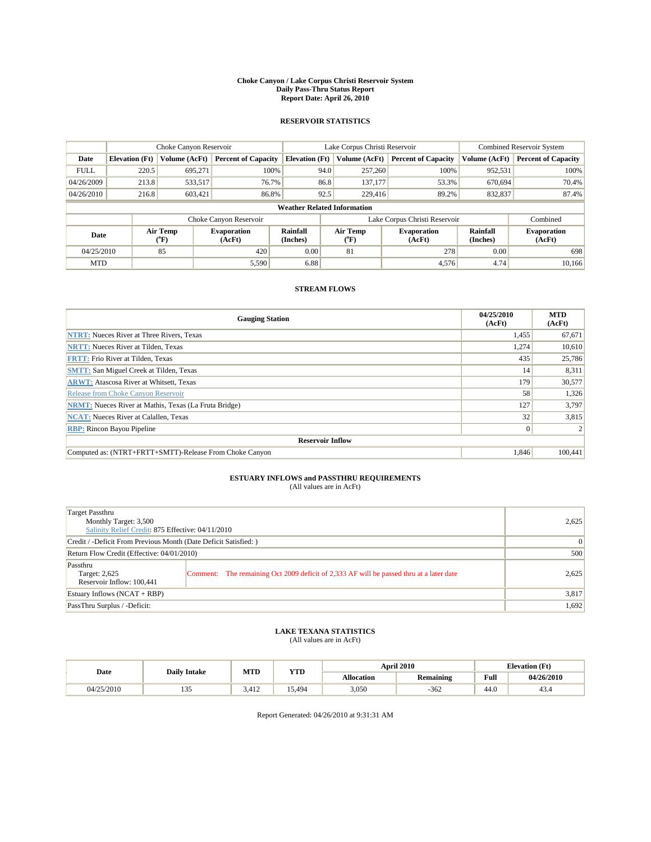#### **Choke Canyon / Lake Corpus Christi Reservoir System Daily Pass-Thru Status Report Report Date: April 26, 2010**

### **RESERVOIR STATISTICS**

|             | Choke Canyon Reservoir             |                  |                              |                       | Lake Corpus Christi Reservoir | <b>Combined Reservoir System</b> |                      |                              |  |
|-------------|------------------------------------|------------------|------------------------------|-----------------------|-------------------------------|----------------------------------|----------------------|------------------------------|--|
| Date        | <b>Elevation</b> (Ft)              | Volume (AcFt)    | <b>Percent of Capacity</b>   | <b>Elevation</b> (Ft) | Volume (AcFt)                 | <b>Percent of Capacity</b>       | Volume (AcFt)        | <b>Percent of Capacity</b>   |  |
| <b>FULL</b> | 220.5                              | 695.271          | 100%                         | 94.0                  | 257,260                       | 100%                             | 952,531              | 100%                         |  |
| 04/26/2009  | 213.8                              | 533,517          | 76.7%                        | 86.8                  | 137,177                       | 53.3%                            | 670,694              | 70.4%                        |  |
| 04/26/2010  | 216.8                              | 603,421          | 86.8%                        | 92.5                  | 229,416                       | 89.2%                            | 832,837              | 87.4%                        |  |
|             | <b>Weather Related Information</b> |                  |                              |                       |                               |                                  |                      |                              |  |
|             |                                    |                  | Choke Canyon Reservoir       |                       |                               | Lake Corpus Christi Reservoir    |                      | Combined                     |  |
| Date        |                                    | Air Temp<br>(°F) | <b>Evaporation</b><br>(AcFt) | Rainfall<br>(Inches)  | Air Temp<br>("F)              | <b>Evaporation</b><br>(AcFt)     | Rainfall<br>(Inches) | <b>Evaporation</b><br>(AcFt) |  |
| 04/25/2010  |                                    | 85               | 420                          | 0.00                  | 81                            | 278                              | 0.00                 | 698                          |  |
| <b>MTD</b>  |                                    |                  | 5,590                        | 6.88                  |                               | 4,576                            | 4.74                 | 10.166                       |  |

### **STREAM FLOWS**

| <b>Gauging Station</b>                                       | 04/25/2010<br>(AcFt) | <b>MTD</b><br>(AcFt) |  |  |  |  |
|--------------------------------------------------------------|----------------------|----------------------|--|--|--|--|
| <b>NTRT:</b> Nueces River at Three Rivers, Texas             | 1,455                | 67,671               |  |  |  |  |
| <b>NRTT:</b> Nueces River at Tilden, Texas                   | 1,274                | 10,610               |  |  |  |  |
| <b>FRTT: Frio River at Tilden, Texas</b>                     | 435                  | 25,786               |  |  |  |  |
| <b>SMTT: San Miguel Creek at Tilden, Texas</b>               | 14                   | 8,311                |  |  |  |  |
| <b>ARWT:</b> Atascosa River at Whitsett, Texas               | 179                  | 30,577               |  |  |  |  |
| Release from Choke Canvon Reservoir                          | 58                   | 1,326                |  |  |  |  |
| <b>NRMT:</b> Nueces River at Mathis, Texas (La Fruta Bridge) | 127                  | 3,797                |  |  |  |  |
| <b>NCAT:</b> Nueces River at Calallen, Texas                 | 32                   | 3,815                |  |  |  |  |
| <b>RBP:</b> Rincon Bayou Pipeline                            | $\vert 0 \vert$      |                      |  |  |  |  |
| <b>Reservoir Inflow</b>                                      |                      |                      |  |  |  |  |
| Computed as: (NTRT+FRTT+SMTT)-Release From Choke Canyon      | 1,846                | 100,441              |  |  |  |  |

# **ESTUARY INFLOWS and PASSTHRU REQUIREMENTS**<br>(All values are in AcFt)

| Target Passthru<br>Monthly Target: 3,500<br>Salinity Relief Credit: 875 Effective: 04/11/2010 | 2,625                                                                                   |       |
|-----------------------------------------------------------------------------------------------|-----------------------------------------------------------------------------------------|-------|
| Credit / -Deficit From Previous Month (Date Deficit Satisfied: )                              | $\Omega$                                                                                |       |
| Return Flow Credit (Effective: 04/01/2010)                                                    | 500                                                                                     |       |
| Passthru<br>Target: 2,625<br>Reservoir Inflow: 100,441                                        | Comment: The remaining Oct 2009 deficit of 2,333 AF will be passed thru at a later date | 2,625 |
| Estuary Inflows $(NCAT + RBP)$                                                                |                                                                                         | 3,817 |
| PassThru Surplus / -Deficit:                                                                  |                                                                                         | 1,692 |

# **LAKE TEXANA STATISTICS** (All values are in AcFt)

|            | <b>Daily Intake</b> | MTD   | <b>YTD</b> |                   | <b>April 2010</b> |                                             | <b>Elevation</b> (Ft) |
|------------|---------------------|-------|------------|-------------------|-------------------|---------------------------------------------|-----------------------|
| Date       |                     |       |            | <b>Allocation</b> | <b>Remaining</b>  | Full<br>the contract of the contract of the | 04/26/2010            |
| 04/25/2010 | $\sim$ $\sim$<br>.  | 3.412 | 15.494     | 3,050             | $-362$            | 44.0                                        | 43.4                  |

Report Generated: 04/26/2010 at 9:31:31 AM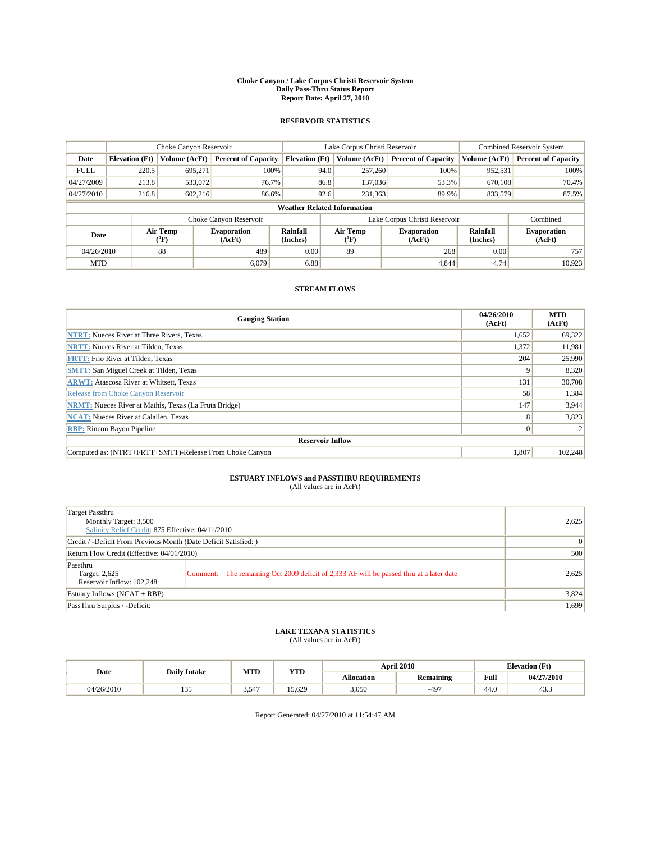#### **Choke Canyon / Lake Corpus Christi Reservoir System Daily Pass-Thru Status Report Report Date: April 27, 2010**

### **RESERVOIR STATISTICS**

|             | Choke Canyon Reservoir             |                  |                              |                       | Lake Corpus Christi Reservoir | <b>Combined Reservoir System</b> |                      |                              |  |
|-------------|------------------------------------|------------------|------------------------------|-----------------------|-------------------------------|----------------------------------|----------------------|------------------------------|--|
| Date        | <b>Elevation</b> (Ft)              | Volume (AcFt)    | <b>Percent of Capacity</b>   | <b>Elevation</b> (Ft) | Volume (AcFt)                 | <b>Percent of Capacity</b>       | Volume (AcFt)        | <b>Percent of Capacity</b>   |  |
| <b>FULL</b> | 220.5                              | 695,271          | 100%                         | 94.0                  | 257,260                       | 100%                             | 952,531              | 100%                         |  |
| 04/27/2009  | 213.8                              | 533,072          | 76.7%                        | 86.8                  | 137,036                       | 53.3%                            | 670,108              | 70.4%                        |  |
| 04/27/2010  | 216.8                              | 602,216          | 86.6%                        | 92.6                  | 231,363                       | 89.9%                            | 833,579              | 87.5%                        |  |
|             | <b>Weather Related Information</b> |                  |                              |                       |                               |                                  |                      |                              |  |
|             |                                    |                  | Choke Canyon Reservoir       |                       |                               | Lake Corpus Christi Reservoir    |                      | Combined                     |  |
| Date        |                                    | Air Temp<br>(°F) | <b>Evaporation</b><br>(AcFt) | Rainfall<br>(Inches)  | Air Temp<br>("F)              | <b>Evaporation</b><br>(AcFt)     | Rainfall<br>(Inches) | <b>Evaporation</b><br>(AcFt) |  |
| 04/26/2010  |                                    | 88               | 489                          | 0.00                  | 89                            | 268                              | 0.00                 | 757                          |  |
| <b>MTD</b>  |                                    |                  | 6.079                        | 6.88                  |                               | 4.844                            | 4.74                 | 10.923                       |  |

### **STREAM FLOWS**

| <b>Gauging Station</b>                                       | 04/26/2010<br>(AcFt) | <b>MTD</b><br>(AcFt) |  |  |  |  |
|--------------------------------------------------------------|----------------------|----------------------|--|--|--|--|
| <b>NTRT:</b> Nueces River at Three Rivers, Texas             | 1,652                | 69,322               |  |  |  |  |
| <b>NRTT:</b> Nueces River at Tilden, Texas                   | 1,372                | 11,981               |  |  |  |  |
| <b>FRTT: Frio River at Tilden, Texas</b>                     | 204                  | 25,990               |  |  |  |  |
| <b>SMTT: San Miguel Creek at Tilden, Texas</b>               | 9                    | 8,320                |  |  |  |  |
| <b>ARWT:</b> Atascosa River at Whitsett, Texas               | 131                  | 30,708               |  |  |  |  |
| Release from Choke Canyon Reservoir                          | 58                   | 1,384                |  |  |  |  |
| <b>NRMT:</b> Nueces River at Mathis, Texas (La Fruta Bridge) | 147                  | 3,944                |  |  |  |  |
| <b>NCAT:</b> Nueces River at Calallen, Texas                 | 8                    | 3,823                |  |  |  |  |
| <b>RBP:</b> Rincon Bayou Pipeline                            | $\overline{0}$       |                      |  |  |  |  |
| <b>Reservoir Inflow</b>                                      |                      |                      |  |  |  |  |
| Computed as: (NTRT+FRTT+SMTT)-Release From Choke Canyon      | 1,807                | 102,248              |  |  |  |  |

# **ESTUARY INFLOWS and PASSTHRU REQUIREMENTS**<br>(All values are in AcFt)

| Target Passthru<br>Monthly Target: 3,500<br>Salinity Relief Credit: 875 Effective: 04/11/2010 | 2,625                                                                                   |       |
|-----------------------------------------------------------------------------------------------|-----------------------------------------------------------------------------------------|-------|
| Credit / -Deficit From Previous Month (Date Deficit Satisfied: )                              | $\Omega$                                                                                |       |
| Return Flow Credit (Effective: 04/01/2010)                                                    | 500                                                                                     |       |
| Passthru<br>Target: 2,625<br>Reservoir Inflow: 102,248                                        | Comment: The remaining Oct 2009 deficit of 2,333 AF will be passed thru at a later date | 2,625 |
| Estuary Inflows $(NCAT + RBP)$                                                                |                                                                                         | 3,824 |
| PassThru Surplus / -Deficit:                                                                  |                                                                                         | 1,699 |

## **LAKE TEXANA STATISTICS** (All values are in AcFt)

|            | <b>Daily Intake</b>         | MTD        | <b>YTD</b> |                   | <b>April 2010</b> |                                             | <b>Elevation</b> (Ft) |
|------------|-----------------------------|------------|------------|-------------------|-------------------|---------------------------------------------|-----------------------|
| Date       |                             |            |            | <b>Allocation</b> | <b>Remaining</b>  | Full<br>the contract of the contract of the | 04/27/2010            |
| 04/26/2010 | $\sim$ $\sim$<br><b>LJJ</b> | $3.54^{-}$ | 15.629     | 3,050             | $-497$            | 44.0                                        | 43.3                  |

Report Generated: 04/27/2010 at 11:54:47 AM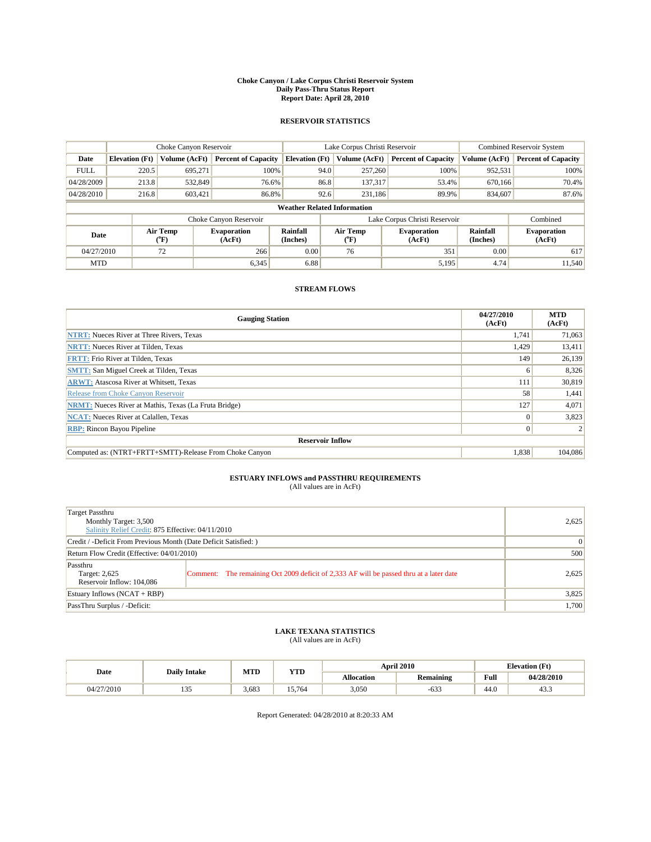#### **Choke Canyon / Lake Corpus Christi Reservoir System Daily Pass-Thru Status Report Report Date: April 28, 2010**

### **RESERVOIR STATISTICS**

|             | Choke Canyon Reservoir             |                  |                              |                       | Lake Corpus Christi Reservoir | <b>Combined Reservoir System</b> |                      |                              |  |
|-------------|------------------------------------|------------------|------------------------------|-----------------------|-------------------------------|----------------------------------|----------------------|------------------------------|--|
| Date        | <b>Elevation</b> (Ft)              | Volume (AcFt)    | <b>Percent of Capacity</b>   | <b>Elevation</b> (Ft) | Volume (AcFt)                 | <b>Percent of Capacity</b>       | Volume (AcFt)        | <b>Percent of Capacity</b>   |  |
| <b>FULL</b> | 220.5                              | 695.271          | 100%                         | 94.0                  | 257,260                       | 100%                             | 952,531              | 100%                         |  |
| 04/28/2009  | 213.8                              | 532,849          | 76.6%                        | 86.8                  | 137,317                       | 53.4%                            | 670,166              | 70.4%                        |  |
| 04/28/2010  | 216.8                              | 603,421          | 86.8%                        | 92.6                  | 231,186                       | 89.9%                            | 834,607              | 87.6%                        |  |
|             | <b>Weather Related Information</b> |                  |                              |                       |                               |                                  |                      |                              |  |
|             |                                    |                  | Choke Canyon Reservoir       |                       |                               | Lake Corpus Christi Reservoir    |                      | Combined                     |  |
| Date        |                                    | Air Temp<br>(°F) | <b>Evaporation</b><br>(AcFt) | Rainfall<br>(Inches)  | Air Temp<br>("F)              | <b>Evaporation</b><br>(AcFt)     | Rainfall<br>(Inches) | <b>Evaporation</b><br>(AcFt) |  |
| 04/27/2010  |                                    | 72               | 266                          | 0.00                  | 76                            | 351                              | 0.00                 | 617                          |  |
| <b>MTD</b>  |                                    |                  | 6,345                        | 6.88                  |                               | 5,195                            | 4.74                 | 11,540                       |  |

### **STREAM FLOWS**

| <b>Gauging Station</b>                                       | 04/27/2010<br>(AcFt) | <b>MTD</b><br>(AcFt) |
|--------------------------------------------------------------|----------------------|----------------------|
| <b>NTRT:</b> Nueces River at Three Rivers, Texas             | 1,741                | 71,063               |
| <b>NRTT:</b> Nueces River at Tilden, Texas                   | 1,429                | 13,411               |
| <b>FRTT: Frio River at Tilden, Texas</b>                     | 149                  | 26,139               |
| <b>SMTT:</b> San Miguel Creek at Tilden, Texas               | 6                    | 8,326                |
| <b>ARWT:</b> Atascosa River at Whitsett, Texas               | 111                  | 30,819               |
| Release from Choke Canvon Reservoir                          | 58                   | 1,441                |
| <b>NRMT:</b> Nueces River at Mathis, Texas (La Fruta Bridge) | 127                  | 4,071                |
| <b>NCAT:</b> Nueces River at Calallen, Texas                 | $\mathbf{0}$         | 3,823                |
| <b>RBP:</b> Rincon Bayou Pipeline                            | $\overline{0}$       |                      |
| <b>Reservoir Inflow</b>                                      |                      |                      |
| Computed as: (NTRT+FRTT+SMTT)-Release From Choke Canyon      | 1,838                | 104,086              |

# **ESTUARY INFLOWS and PASSTHRU REQUIREMENTS**<br>(All values are in AcFt)

| Target Passthru<br>Monthly Target: 3,500<br>Salinity Relief Credit: 875 Effective: 04/11/2010 | 2,625                                                                                   |       |
|-----------------------------------------------------------------------------------------------|-----------------------------------------------------------------------------------------|-------|
| Credit / -Deficit From Previous Month (Date Deficit Satisfied: )                              | $\Omega$                                                                                |       |
| Return Flow Credit (Effective: 04/01/2010)                                                    | 500                                                                                     |       |
| Passthru<br>Target: 2,625<br>Reservoir Inflow: 104,086                                        | Comment: The remaining Oct 2009 deficit of 2,333 AF will be passed thru at a later date | 2,625 |
| Estuary Inflows $(NCAT + RBP)$                                                                |                                                                                         | 3,825 |
| PassThru Surplus / -Deficit:                                                                  |                                                                                         | 1,700 |

## **LAKE TEXANA STATISTICS** (All values are in AcFt)

|            | <b>Daily Intake</b> | MTD   | <b>YTD</b> |                   | <b>April 2010</b> | <b>Elevation</b> (Ft)                       |            |
|------------|---------------------|-------|------------|-------------------|-------------------|---------------------------------------------|------------|
| Date       |                     |       |            | <b>Allocation</b> | <b>Remaining</b>  | Full<br>the contract of the contract of the | 04/28/2010 |
| 04/27/2010 | $\sim$ $\sim$<br>.  | 3.683 | 15.764     | 3,050             | $-633$            | 44.0                                        | 43.3       |

Report Generated: 04/28/2010 at 8:20:33 AM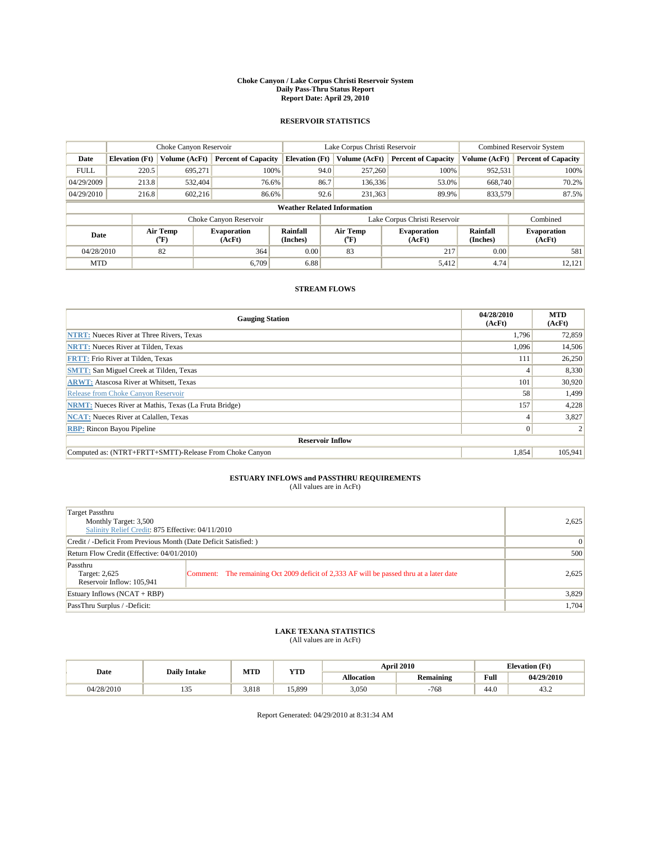#### **Choke Canyon / Lake Corpus Christi Reservoir System Daily Pass-Thru Status Report Report Date: April 29, 2010**

### **RESERVOIR STATISTICS**

|             | Choke Canyon Reservoir             |                  |                              |                       | Lake Corpus Christi Reservoir |                               |                      | <b>Combined Reservoir System</b> |  |
|-------------|------------------------------------|------------------|------------------------------|-----------------------|-------------------------------|-------------------------------|----------------------|----------------------------------|--|
| Date        | <b>Elevation</b> (Ft)              | Volume (AcFt)    | <b>Percent of Capacity</b>   | <b>Elevation</b> (Ft) | Volume (AcFt)                 | <b>Percent of Capacity</b>    | Volume (AcFt)        | <b>Percent of Capacity</b>       |  |
| <b>FULL</b> | 220.5                              | 695,271          | 100%                         | 94.0                  | 257,260                       | 100%                          | 952,531              | 100%                             |  |
| 04/29/2009  | 213.8                              | 532,404          | 76.6%                        | 86.7                  | 136,336                       | 53.0%                         | 668,740              | 70.2%                            |  |
| 04/29/2010  | 216.8                              | 602,216          | 86.6%                        | 92.6                  | 231,363                       | 89.9%                         | 833,579              | 87.5%                            |  |
|             | <b>Weather Related Information</b> |                  |                              |                       |                               |                               |                      |                                  |  |
|             |                                    |                  | Choke Canyon Reservoir       |                       |                               | Lake Corpus Christi Reservoir |                      | Combined                         |  |
| Date        |                                    | Air Temp<br>(°F) | <b>Evaporation</b><br>(AcFt) | Rainfall<br>(Inches)  | Air Temp<br>$\rm ^{(o}F)$     | <b>Evaporation</b><br>(AcFt)  | Rainfall<br>(Inches) | <b>Evaporation</b><br>(AcFt)     |  |
| 04/28/2010  |                                    | 82               | 364                          | 0.00                  | 83                            | 217                           | 0.00                 | 581                              |  |
| <b>MTD</b>  |                                    |                  | 6.709                        | 6.88                  |                               | 5,412                         | 4.74                 | 12,121                           |  |

### **STREAM FLOWS**

| <b>Gauging Station</b>                                       | 04/28/2010<br>(AcFt) | <b>MTD</b><br>(AcFt) |
|--------------------------------------------------------------|----------------------|----------------------|
| <b>NTRT:</b> Nueces River at Three Rivers, Texas             | 1,796                | 72,859               |
| <b>NRTT:</b> Nueces River at Tilden, Texas                   | 1,096                | 14,506               |
| <b>FRTT: Frio River at Tilden, Texas</b>                     | 111                  | 26,250               |
| <b>SMTT:</b> San Miguel Creek at Tilden, Texas               | 4                    | 8,330                |
| <b>ARWT:</b> Atascosa River at Whitsett, Texas               | 101                  | 30,920               |
| Release from Choke Canyon Reservoir                          | 58                   | 1,499                |
| <b>NRMT:</b> Nueces River at Mathis, Texas (La Fruta Bridge) | 157                  | 4,228                |
| <b>NCAT:</b> Nueces River at Calallen, Texas                 | 4                    | 3,827                |
| <b>RBP:</b> Rincon Bayou Pipeline                            | $\overline{0}$       |                      |
| <b>Reservoir Inflow</b>                                      |                      |                      |
| Computed as: (NTRT+FRTT+SMTT)-Release From Choke Canyon      | 1,854                | 105,941              |

## **ESTUARY INFLOWS and PASSTHRU REQUIREMENTS**<br>(All values are in AcFt)

| Target Passthru<br>Monthly Target: 3,500<br>Salinity Relief Credit: 875 Effective: 04/11/2010 |                                                                                         | 2,625 |
|-----------------------------------------------------------------------------------------------|-----------------------------------------------------------------------------------------|-------|
| Credit / -Deficit From Previous Month (Date Deficit Satisfied:)                               |                                                                                         | 0     |
| Return Flow Credit (Effective: 04/01/2010)                                                    |                                                                                         | 500   |
| Passthru<br>Target: 2,625<br>Reservoir Inflow: 105,941                                        | Comment: The remaining Oct 2009 deficit of 2,333 AF will be passed thru at a later date | 2,625 |
| Estuary Inflows $(NCAT + RBP)$                                                                |                                                                                         | 3,829 |
| PassThru Surplus / -Deficit:                                                                  |                                                                                         | 1,704 |

## **LAKE TEXANA STATISTICS** (All values are in AcFt)

|            | <b>Daily Intake</b> | MTD   | YTD    |                   | <b>April 2010</b> |                                             | <b>Elevation</b> (Ft) |
|------------|---------------------|-------|--------|-------------------|-------------------|---------------------------------------------|-----------------------|
| Date       |                     |       |        | <b>Allocation</b> | <b>Remaining</b>  | Full<br>the contract of the contract of the | 04/29/2010            |
| 04/28/2010 | $\sim$ $\sim$<br>.  | 3.818 | 15.899 | 3,050             | $-768$            | 44.0                                        | 43.2                  |

Report Generated: 04/29/2010 at 8:31:34 AM